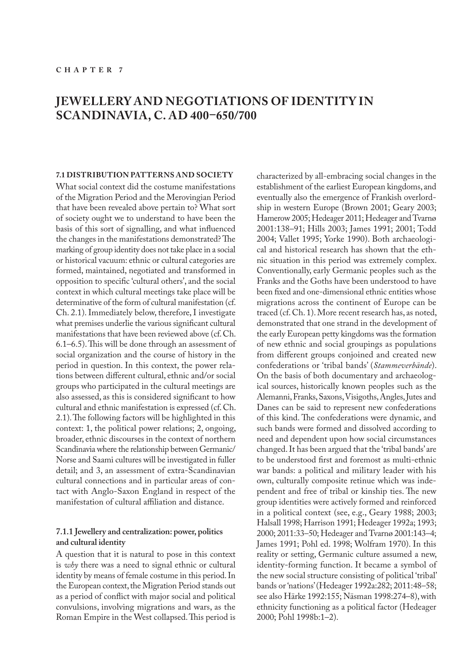# **JEWELLERY AND NEGOTIATIONS OF IDENTITY IN SCANDINAVIA, C. AD 400–650/700**

#### **7.1 DISTRIBUTION PATTERNS AND SOCIETY**

What social context did the costume manifestations of the Migration Period and the Merovingian Period that have been revealed above pertain to? What sort of society ought we to understand to have been the basis of this sort of signalling, and what influenced the changes in the manifestations demonstrated? The marking of group identity does not take place in a social or historical vacuum: ethnic or cultural categories are formed, maintained, negotiated and transformed in opposition to specific 'cultural others', and the social context in which cultural meetings take place will be determinative of the form of cultural manifestation (cf. Ch. 2.1). Immediately below, therefore, I investigate what premises underlie the various significant cultural manifestations that have been reviewed above (cf. Ch. 6.1–6.5). This will be done through an assessment of social organization and the course of history in the period in question. In this context, the power relations between different cultural, ethnic and/or social groups who participated in the cultural meetings are also assessed, as this is considered significant to how cultural and ethnic manifestation is expressed (cf. Ch. 2.1). The following factors will be highlighted in this context: 1, the political power relations; 2, ongoing, broader, ethnic discourses in the context of northern Scandinavia where the relationship between Germanic/ Norse and Saami cultures will be investigated in fuller detail; and 3, an assessment of extra-Scandinavian cultural connections and in particular areas of contact with Anglo-Saxon England in respect of the manifestation of cultural affiliation and distance.

## **7.1.1 Jewellery and centralization: power, politics and cultural identity**

A question that it is natural to pose in this context is *why* there was a need to signal ethnic or cultural identity by means of female costume in this period. In the European context, the Migration Period stands out as a period of conflict with major social and political convulsions, involving migrations and wars, as the Roman Empire in the West collapsed. This period is

characterized by all-embracing social changes in the establishment of the earliest European kingdoms, and eventually also the emergence of Frankish overlordship in western Europe (Brown 2001; Geary 2003; Hamerow 2005; Hedeager 2011; Hedeager and Tvarnø 2001:138–91; Hills 2003; James 1991; 2001; Todd 2004; Vallet 1995; Yorke 1990). Both archaeological and historical research has shown that the ethnic situation in this period was extremely complex. Conventionally, early Germanic peoples such as the Franks and the Goths have been understood to have been fixed and one-dimensional ethnic entities whose migrations across the continent of Europe can be traced (cf. Ch. 1). More recent research has, as noted, demonstrated that one strand in the development of the early European petty kingdoms was the formation of new ethnic and social groupings as populations from different groups conjoined and created new confederations or 'tribal bands' (*Stammeverbände*). On the basis of both documentary and archaeological sources, historically known peoples such as the Alemanni, Franks, Saxons, Visigoths, Angles, Jutes and Danes can be said to represent new confederations of this kind. The confederations were dynamic, and such bands were formed and dissolved according to need and dependent upon how social circumstances changed. It has been argued that the 'tribal bands' are to be understood first and foremost as multi-ethnic war bands: a political and military leader with his own, culturally composite retinue which was independent and free of tribal or kinship ties. The new group identities were actively formed and reinforced in a political context (see, e.g., Geary 1988; 2003; Halsall 1998; Harrison 1991; Hedeager 1992a; 1993; 2000; 2011:33–50; Hedeager and Tvarnø 2001:143–4; James 1991; Pohl ed. 1998; Wolfram 1970). In this reality or setting, Germanic culture assumed a new, identity-forming function. It became a symbol of the new social structure consisting of political 'tribal' bands or 'nations' (Hedeager 1992a:282; 2011:48–58; see also Härke 1992:155; Näsman 1998:274–8), with ethnicity functioning as a political factor (Hedeager 2000; Pohl 1998b:1–2).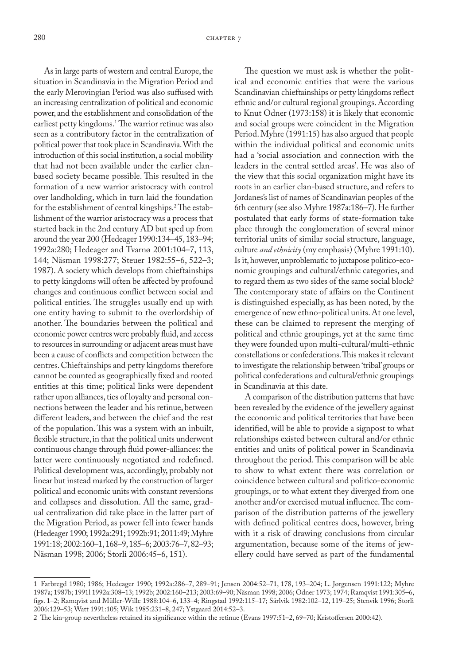As in large parts of western and central Europe, the situation in Scandinavia in the Migration Period and the early Merovingian Period was also suffused with an increasing centralization of political and economic power, and the establishment and consolidation of the earliest petty kingdoms.1 The warrior retinue was also seen as a contributory factor in the centralization of political power that took place in Scandinavia. With the introduction of this social institution, a social mobility that had not been available under the earlier clanbased society became possible. This resulted in the formation of a new warrior aristocracy with control over landholding, which in turn laid the foundation for the establishment of central kingships.<sup>2</sup>The establishment of the warrior aristocracy was a process that started back in the 2nd century AD but sped up from around the year 200 (Hedeager 1990:134–45, 183–94; 1992a:280; Hedeager and Tvarnø 2001:104–7, 113, 144; Näsman 1998:277; Steuer 1982:55–6, 522–3; 1987). A society which develops from chieftainships to petty kingdoms will often be affected by profound changes and continuous conflict between social and political entities. The struggles usually end up with one entity having to submit to the overlordship of another. The boundaries between the political and economic power centres were probably fluid, and access to resources in surrounding or adjacent areas must have been a cause of conflicts and competition between the centres. Chieftainships and petty kingdoms therefore cannot be counted as geographically fixed and rooted entities at this time; political links were dependent rather upon alliances, ties of loyalty and personal connections between the leader and his retinue, between different leaders, and between the chief and the rest of the population. This was a system with an inbuilt, flexible structure, in that the political units underwent continuous change through fluid power-alliances: the latter were continuously negotiated and redefined. Political development was, accordingly, probably not linear but instead marked by the construction of larger political and economic units with constant reversions and collapses and dissolution. All the same, gradual centralization did take place in the latter part of the Migration Period, as power fell into fewer hands (Hedeager 1990; 1992a:291; 1992b:91; 2011:49; Myhre 1991:18; 2002:160–1, 168–9, 185–6; 2003:76–7, 82–93; Näsman 1998; 2006; Storli 2006:45–6, 151).

The question we must ask is whether the political and economic entities that were the various Scandinavian chieftainships or petty kingdoms reflect ethnic and/or cultural regional groupings. According to Knut Odner (1973:158) it is likely that economic and social groups were coincident in the Migration Period. Myhre (1991:15) has also argued that people within the individual political and economic units had a 'social association and connection with the leaders in the central settled areas'. He was also of the view that this social organization might have its roots in an earlier clan-based structure, and refers to Jordanes's list of names of Scandinavian peoples of the 6th century (see also Myhre 1987a:186–7). He further postulated that early forms of state-formation take place through the conglomeration of several minor territorial units of similar social structure, language, culture *and ethnicity* (my emphasis) (Myhre 1991:10). Is it, however, unproblematic to juxtapose politico-economic groupings and cultural/ethnic categories, and to regard them as two sides of the same social block? The contemporary state of affairs on the Continent is distinguished especially, as has been noted, by the emergence of new ethno-political units. At one level, these can be claimed to represent the merging of political and ethnic groupings, yet at the same time they were founded upon multi-cultural/multi-ethnic constellations or confederations. This makes it relevant to investigate the relationship between 'tribal' groups or political confederations and cultural/ethnic groupings in Scandinavia at this date.

A comparison of the distribution patterns that have been revealed by the evidence of the jewellery against the economic and political territories that have been identified, will be able to provide a signpost to what relationships existed between cultural and/or ethnic entities and units of political power in Scandinavia throughout the period. This comparison will be able to show to what extent there was correlation or coincidence between cultural and politico-economic groupings, or to what extent they diverged from one another and/or exercised mutual influence. The comparison of the distribution patterns of the jewellery with defined political centres does, however, bring with it a risk of drawing conclusions from circular argumentation, because some of the items of jewellery could have served as part of the fundamental

<sup>1</sup> Farbregd 1980; 1986; Hedeager 1990; 1992a:286–7, 289–91; Jensen 2004:52–71, 178, 193–204; L. Jørgensen 1991:122; Myhre 1987a; 1987b; 1991l 1992a:308–13; 1992b; 2002:160–213; 2003:69–90; Näsman 1998; 2006; Odner 1973; 1974; Ramqvist 1991:305–6, figs. 1–2; Ramqvist and Müller-Wille 1988:104–6, 133–4; Ringstad 1992:115–17; Särlvik 1982:102–12, 119–25; Stenvik 1996; Storli 2006:129–53; Watt 1991:105; Wik 1985:231–8, 247; Ystgaard 2014:52–3.

<sup>2</sup> The kin-group nevertheless retained its significance within the retinue (Evans 1997:51–2, 69–70; Kristoffersen 2000:42).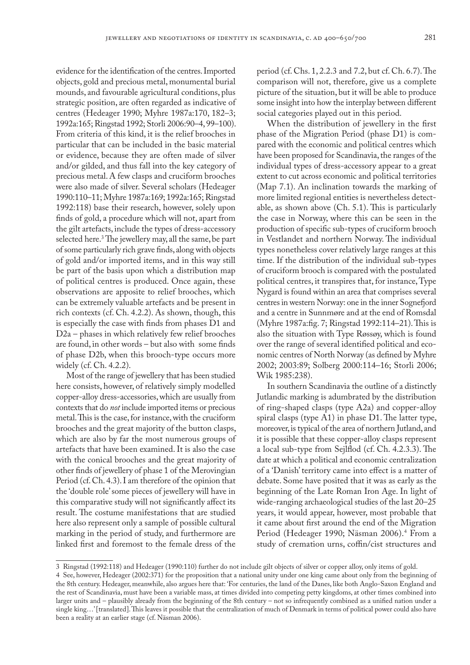evidence for the identification of the centres. Imported objects, gold and precious metal, monumental burial mounds, and favourable agricultural conditions, plus strategic position, are often regarded as indicative of centres (Hedeager 1990; Myhre 1987a:170, 182–3; 1992a:165; Ringstad 1992; Storli 2006:90–4, 99–100). From criteria of this kind, it is the relief brooches in particular that can be included in the basic material or evidence, because they are often made of silver and/or gilded, and thus fall into the key category of precious metal. A few clasps and cruciform brooches were also made of silver. Several scholars (Hedeager 1990:110–11; Myhre 1987a:169; 1992a:165; Ringstad 1992:118) base their research, however, solely upon finds of gold, a procedure which will not, apart from the gilt artefacts, include the types of dress-accessory selected here.3 The jewellery may, all the same, be part of some particularly rich grave finds, along with objects of gold and/or imported items, and in this way still be part of the basis upon which a distribution map of political centres is produced. Once again, these observations are apposite to relief brooches, which can be extremely valuable artefacts and be present in rich contexts (cf. Ch. 4.2.2). As shown, though, this is especially the case with finds from phases D1 and D2a – phases in which relatively few relief brooches are found, in other words – but also with some finds of phase D2b, when this brooch-type occurs more widely (cf. Ch. 4.2.2).

Most of the range of jewellery that has been studied here consists, however, of relatively simply modelled copper-alloy dress-accessories, which are usually from contexts that do *not* include imported items or precious metal. This is the case, for instance, with the cruciform brooches and the great majority of the button clasps, which are also by far the most numerous groups of artefacts that have been examined. It is also the case with the conical brooches and the great majority of other finds of jewellery of phase 1 of the Merovingian Period (cf. Ch. 4.3). I am therefore of the opinion that the 'double role' some pieces of jewellery will have in this comparative study will not significantly affect its result. The costume manifestations that are studied here also represent only a sample of possible cultural marking in the period of study, and furthermore are linked first and foremost to the female dress of the

period (cf. Chs. 1, 2.2.3 and 7.2, but cf. Ch. 6.7). The comparison will not, therefore, give us a complete picture of the situation, but it will be able to produce some insight into how the interplay between different social categories played out in this period.

When the distribution of jewellery in the first phase of the Migration Period (phase D1) is compared with the economic and political centres which have been proposed for Scandinavia, the ranges of the individual types of dress-accessory appear to a great extent to cut across economic and political territories (Map 7.1). An inclination towards the marking of more limited regional entities is nevertheless detectable, as shown above (Ch. 5.1). This is particularly the case in Norway, where this can be seen in the production of specific sub-types of cruciform brooch in Vestlandet and northern Norway. The individual types nonetheless cover relatively large ranges at this time. If the distribution of the individual sub-types of cruciform brooch is compared with the postulated political centres, it transpires that, for instance, Type Nygard is found within an area that comprises several centres in western Norway: one in the inner Sognefjord and a centre in Sunnmøre and at the end of Romsdal (Myhre 1987a:fig. 7; Ringstad 1992:114–21). This is also the situation with Type Røssøy, which is found over the range of several identified political and economic centres of North Norway (as defined by Myhre 2002; 2003:89; Solberg 2000:114–16; Storli 2006; Wik 1985:238).

In southern Scandinavia the outline of a distinctly Jutlandic marking is adumbrated by the distribution of ring-shaped clasps (type A2a) and copper-alloy spiral clasps (type A1) in phase D1. The latter type, moreover, is typical of the area of northern Jutland, and it is possible that these copper-alloy clasps represent a local sub-type from Sejlflod (cf. Ch. 4.2.3.3). The date at which a political and economic centralization of a 'Danish' territory came into effect is a matter of debate. Some have posited that it was as early as the beginning of the Late Roman Iron Age. In light of wide-ranging archaeological studies of the last 20–25 years, it would appear, however, most probable that it came about first around the end of the Migration Period (Hedeager 1990; Näsman 2006).4 From a study of cremation urns, coffin/cist structures and

<sup>3</sup> Ringstad (1992:118) and Hedeager (1990:110) further do not include gilt objects of silver or copper alloy, only items of gold.

<sup>4</sup> See, however, Hedeager (2002:371) for the proposition that a national unity under one king came about only from the beginning of the 8th century. Hedeager, meanwhile, also argues here that: 'For centuries, the land of the Danes, like both Anglo-Saxon England and the rest of Scandinavia, must have been a variable mass, at times divided into competing petty kingdoms, at other times combined into larger units and – plausibly already from the beginning of the 8th century – not so infrequently combined as a unified nation under a single king...' [translated]. This leaves it possible that the centralization of much of Denmark in terms of political power could also have been a reality at an earlier stage (cf. Näsman 2006).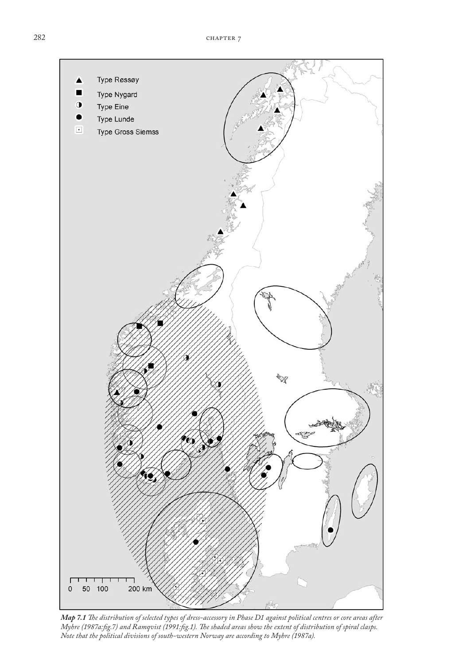

*Map 7.1 The distribution of selected types of dress-accessory in Phase D1 against political centres or core areas after Myhre (1987a:fig.7) and Ramqvist (1991:fig.1). The shaded areas show the extent of distribution of spiral clasps. Note that the political divisions of south-western Norway are according to Myhre (1987a).*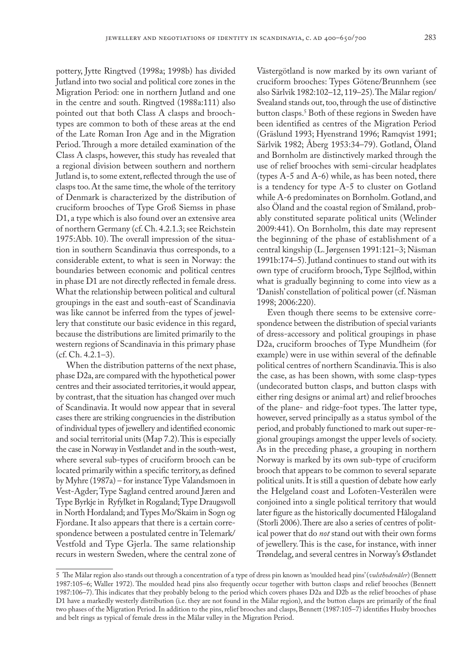pottery, Jytte Ringtved (1998a; 1998b) has divided Jutland into two social and political core zones in the Migration Period: one in northern Jutland and one in the centre and south. Ringtved (1988a:111) also pointed out that both Class A clasps and broochtypes are common to both of these areas at the end of the Late Roman Iron Age and in the Migration Period. Through a more detailed examination of the Class A clasps, however, this study has revealed that a regional division between southern and northern Jutland is, to some extent, reflected through the use of clasps too. At the same time, the whole of the territory of Denmark is characterized by the distribution of cruciform brooches of Type Groß Siemss in phase D1, a type which is also found over an extensive area of northern Germany (cf. Ch. 4.2.1.3; see Reichstein 1975:Abb. 10). The overall impression of the situation in southern Scandinavia thus corresponds, to a considerable extent, to what is seen in Norway: the boundaries between economic and political centres in phase D1 are not directly reflected in female dress. What the relationship between political and cultural groupings in the east and south-east of Scandinavia was like cannot be inferred from the types of jewellery that constitute our basic evidence in this regard, because the distributions are limited primarily to the western regions of Scandinavia in this primary phase  $(cf. Ch. 4.2.1-3).$ 

When the distribution patterns of the next phase, phase D2a, are compared with the hypothetical power centres and their associated territories, it would appear, by contrast, that the situation has changed over much of Scandinavia. It would now appear that in several cases there are striking congruencies in the distribution of individual types of jewellery and identified economic and social territorial units (Map 7.2). This is especially the case in Norway in Vestlandet and in the south-west, where several sub-types of cruciform brooch can be located primarily within a specific territory, as defined by Myhre (1987a) – for instance Type Valandsmoen in Vest-Agder; Type Sagland centred around Jæren and Type Byrkje in Ryfylket in Rogaland; Type Draugsvoll in North Hordaland; and Types Mo/Skaim in Sogn og Fjordane. It also appears that there is a certain correspondence between a postulated centre in Telemark/ Vestfold and Type Gjerla. The same relationship recurs in western Sweden, where the central zone of

Västergötland is now marked by its own variant of cruciform brooches: Types Götene/Brunnhem (see also Särlvik 1982:102–12, 119–25). The Mälar region/ Svealand stands out, too, through the use of distinctive button clasps.5 Both of these regions in Sweden have been identified as centres of the Migration Period (Gräslund 1993; Hyenstrand 1996; Ramqvist 1991; Särlvik 1982; Åberg 1953:34–79). Gotland, Öland and Bornholm are distinctively marked through the use of relief brooches with semi-circular headplates (types A-5 and A-6) while, as has been noted, there is a tendency for type A-5 to cluster on Gotland while A-6 predominates on Bornholm. Gotland, and also Öland and the coastal region of Småland, probably constituted separate political units (Welinder 2009:441). On Bornholm, this date may represent the beginning of the phase of establishment of a central kingship (L. Jørgensen 1991:121–3; Näsman 1991b:174–5). Jutland continues to stand out with its own type of cruciform brooch, Type Sejlflod, within what is gradually beginning to come into view as a 'Danish' constellation of political power (cf. Näsman 1998; 2006:220).

Even though there seems to be extensive correspondence between the distribution of special variants of dress-accessory and political groupings in phase D2a, cruciform brooches of Type Mundheim (for example) were in use within several of the definable political centres of northern Scandinavia. This is also the case, as has been shown, with some clasp-types (undecorated button clasps, and button clasps with either ring designs or animal art) and relief brooches of the plane- and ridge-foot types. The latter type, however, served principally as a status symbol of the period, and probably functioned to mark out super-regional groupings amongst the upper levels of society. As in the preceding phase, a grouping in northern Norway is marked by its own sub-type of cruciform brooch that appears to be common to several separate political units. It is still a question of debate how early the Helgeland coast and Lofoten-Vesterålen were conjoined into a single political territory that would later figure as the historically documented Hålogaland (Storli 2006). There are also a series of centres of political power that do *not* stand out with their own forms of jewellery. This is the case, for instance, with inner Trøndelag, and several centres in Norway's Østlandet

<sup>5</sup> The Mälar region also stands out through a concentration of a type of dress pin known as 'moulded head pins' (*vulsthodenåler*) (Bennett 1987:105–6; Waller 1972). The moulded head pins also frequently occur together with button clasps and relief brooches (Bennett 1987:106–7). This indicates that they probably belong to the period which covers phases D2a and D2b as the relief brooches of phase D1 have a markedly westerly distribution (i.e. they are not found in the Mälar region), and the button clasps are primarily of the final two phases of the Migration Period. In addition to the pins, relief brooches and clasps, Bennett (1987:105–7) identifies Husby brooches and belt rings as typical of female dress in the Mälar valley in the Migration Period.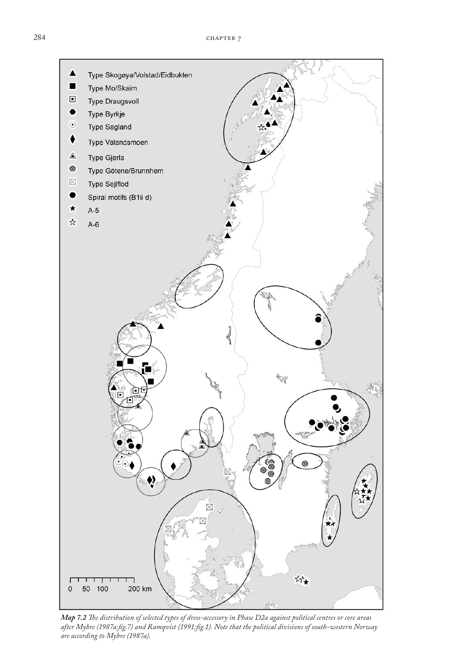

*Map 7.2 The distribution of selected types of dress-accessory in Phase D2a against political centres or core areas after Myhre (1987a:fig.7) and Ramqvist (1991:fig.1). Note that the political divisions of south-western Norway are according to Myhre (1987a).*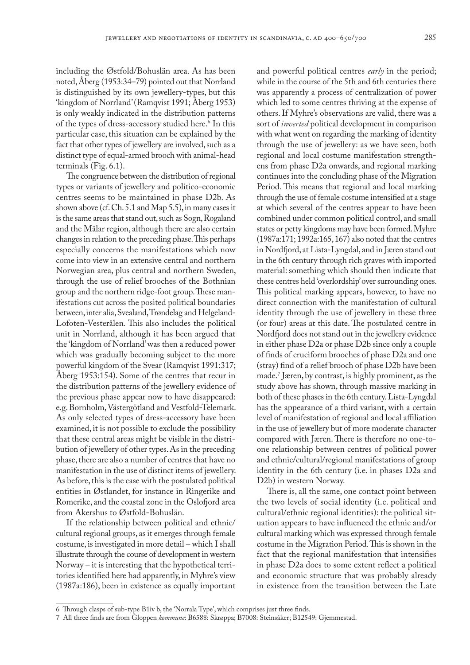including the Østfold/Bohuslän area. As has been noted, Åberg (1953:34–79) pointed out that Norrland is distinguished by its own jewellery-types, but this 'kingdom of Norrland' (Ramqvist 1991; Åberg 1953) is only weakly indicated in the distribution patterns of the types of dress-accessory studied here.<sup>6</sup> In this particular case, this situation can be explained by the fact that other types of jewellery are involved, such as a distinct type of equal-armed brooch with animal-head terminals (Fig. 6.1).

The congruence between the distribution of regional types or variants of jewellery and politico-economic centres seems to be maintained in phase D2b. As shown above (cf. Ch. 5.1 and Map 5.5), in many cases it is the same areas that stand out, such as Sogn, Rogaland and the Mälar region, although there are also certain changes in relation to the preceding phase. This perhaps especially concerns the manifestations which now come into view in an extensive central and northern Norwegian area, plus central and northern Sweden, through the use of relief brooches of the Bothnian group and the northern ridge-foot group. These manifestations cut across the posited political boundaries between, inter alia, Svealand, Trøndelag and Helgeland-Lofoten-Vesterålen*.* This also includes the political unit in Norrland, although it has been argued that the 'kingdom of Norrland' was then a reduced power which was gradually becoming subject to the more powerful kingdom of the Svear (Ramqvist 1991:317; Åberg 1953:154). Some of the centres that recur in the distribution patterns of the jewellery evidence of the previous phase appear now to have disappeared: e.g. Bornholm, Västergötland and Vestfold-Telemark. As only selected types of dress-accessory have been examined, it is not possible to exclude the possibility that these central areas might be visible in the distribution of jewellery of other types. As in the preceding phase, there are also a number of centres that have no manifestation in the use of distinct items of jewellery. As before, this is the case with the postulated political entities in Østlandet, for instance in Ringerike and Romerike, and the coastal zone in the Oslofjord area from Akershus to Østfold-Bohuslän.

If the relationship between political and ethnic/ cultural regional groups, as it emerges through female costume, is investigated in more detail – which I shall illustrate through the course of development in western Norway – it is interesting that the hypothetical territories identified here had apparently, in Myhre's view (1987a:186), been in existence as equally important

and powerful political centres *early* in the period; while in the course of the 5th and 6th centuries there was apparently a process of centralization of power which led to some centres thriving at the expense of others. If Myhre's observations are valid, there was a sort of *inverted* political development in comparison with what went on regarding the marking of identity through the use of jewellery: as we have seen, both regional and local costume manifestation strengthens from phase D2a onwards, and regional marking continues into the concluding phase of the Migration Period. This means that regional and local marking through the use of female costume intensified at a stage at which several of the centres appear to have been combined under common political control, and small states or petty kingdoms may have been formed. Myhre (1987a:171; 1992a:165, 167) also noted that the centres in Nordfjord, at Lista-Lyngdal, and in Jæren stand out in the 6th century through rich graves with imported material: something which should then indicate that these centres held 'overlordship' over surrounding ones. This political marking appears, however, to have no direct connection with the manifestation of cultural identity through the use of jewellery in these three (or four) areas at this date. The postulated centre in Nordfjord does not stand out in the jewellery evidence in either phase D2a or phase D2b since only a couple of finds of cruciform brooches of phase D2a and one (stray) find of a relief brooch of phase D2b have been made.7 Jæren, by contrast, is highly prominent, as the study above has shown, through massive marking in both of these phases in the 6th century. Lista-Lyngdal has the appearance of a third variant, with a certain level of manifestation of regional and local affiliation in the use of jewellery but of more moderate character compared with Jæren. There is therefore no one-toone relationship between centres of political power and ethnic/cultural/regional manifestations of group identity in the 6th century (i.e. in phases D2a and D2b) in western Norway.

There is, all the same, one contact point between the two levels of social identity (i.e. political and cultural/ethnic regional identities): the political situation appears to have influenced the ethnic and/or cultural marking which was expressed through female costume in the Migration Period. This is shown in the fact that the regional manifestation that intensifies in phase D2a does to some extent reflect a political and economic structure that was probably already in existence from the transition between the Late

<sup>6</sup> Through clasps of sub-type B1iv b, the 'Norrala Type', which comprises just three finds.

<sup>7</sup> All three finds are from Gloppen *kommune*: B6588: Skrøppa; B7008: Steinsåker; B12549: Gjemmestad.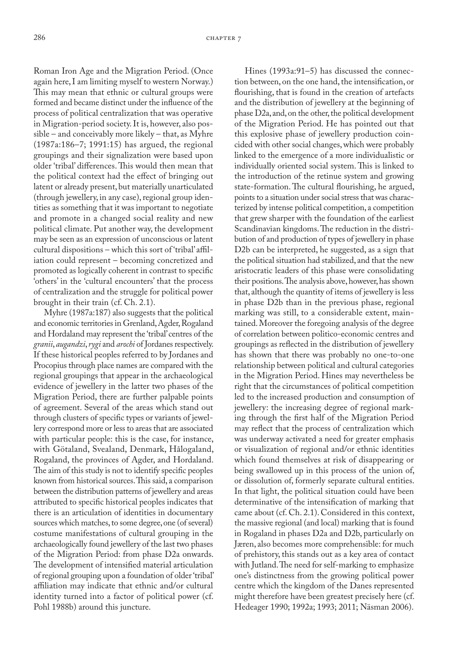Roman Iron Age and the Migration Period. (Once again here, I am limiting myself to western Norway.) This may mean that ethnic or cultural groups were formed and became distinct under the influence of the process of political centralization that was operative in Migration-period society. It is, however, also possible – and conceivably more likely – that, as Myhre (1987a:186–7; 1991:15) has argued, the regional groupings and their signalization were based upon older 'tribal' differences. This would then mean that the political context had the effect of bringing out latent or already present, but materially unarticulated (through jewellery, in any case), regional group identities as something that it was important to negotiate and promote in a changed social reality and new political climate. Put another way, the development may be seen as an expression of unconscious or latent cultural dispositions – which this sort of 'tribal' affiliation could represent – becoming concretized and promoted as logically coherent in contrast to specific 'others' in the 'cultural encounters' that the process of centralization and the struggle for political power brought in their train (cf. Ch. 2.1).

Myhre (1987a:187) also suggests that the political and economic territories in Grenland, Agder, Rogaland and Hordaland may represent the 'tribal' centres of the *granii*, *augandzi*, *rygi* and *arochi* of Jordanes respectively. If these historical peoples referred to by Jordanes and Procopius through place names are compared with the regional groupings that appear in the archaeological evidence of jewellery in the latter two phases of the Migration Period, there are further palpable points of agreement. Several of the areas which stand out through clusters of specific types or variants of jewellery correspond more or less to areas that are associated with particular people: this is the case, for instance, with Götaland, Svealand, Denmark, Hålogaland, Rogaland, the provinces of Agder, and Hordaland. The aim of this study is not to identify specific peoples known from historical sources. This said, a comparison between the distribution patterns of jewellery and areas attributed to specific historical peoples indicates that there is an articulation of identities in documentary sources which matches, to some degree, one (of several) costume manifestations of cultural grouping in the archaeologically found jewellery of the last two phases of the Migration Period: from phase D2a onwards. The development of intensified material articulation of regional grouping upon a foundation of older 'tribal' affiliation may indicate that ethnic and/or cultural identity turned into a factor of political power (cf. Pohl 1988b) around this juncture.

Hines (1993a:91–5) has discussed the connection between, on the one hand, the intensification, or flourishing, that is found in the creation of artefacts and the distribution of jewellery at the beginning of phase D2a, and, on the other, the political development of the Migration Period. He has pointed out that this explosive phase of jewellery production coincided with other social changes, which were probably linked to the emergence of a more individualistic or individually oriented social system. This is linked to the introduction of the retinue system and growing state-formation. The cultural flourishing, he argued, points to a situation under social stress that was characterized by intense political competition, a competition that grew sharper with the foundation of the earliest Scandinavian kingdoms. The reduction in the distribution of and production of types of jewellery in phase D2b can be interpreted, he suggested, as a sign that the political situation had stabilized, and that the new aristocratic leaders of this phase were consolidating their positions. The analysis above, however, has shown that, although the quantity of items of jewellery is less in phase D2b than in the previous phase, regional marking was still, to a considerable extent, maintained. Moreover the foregoing analysis of the degree of correlation between politico-economic centres and groupings as reflected in the distribution of jewellery has shown that there was probably no one-to-one relationship between political and cultural categories in the Migration Period. Hines may nevertheless be right that the circumstances of political competition led to the increased production and consumption of jewellery: the increasing degree of regional marking through the first half of the Migration Period may reflect that the process of centralization which was underway activated a need for greater emphasis or visualization of regional and/or ethnic identities which found themselves at risk of disappearing or being swallowed up in this process of the union of, or dissolution of, formerly separate cultural entities. In that light, the political situation could have been determinative of the intensification of marking that came about (cf. Ch. 2.1). Considered in this context, the massive regional (and local) marking that is found in Rogaland in phases D2a and D2b, particularly on Jæren, also becomes more comprehensible: for much of prehistory, this stands out as a key area of contact with Jutland. The need for self-marking to emphasize one's distinctness from the growing political power centre which the kingdom of the Danes represented might therefore have been greatest precisely here (cf. Hedeager 1990; 1992a; 1993; 2011; Näsman 2006).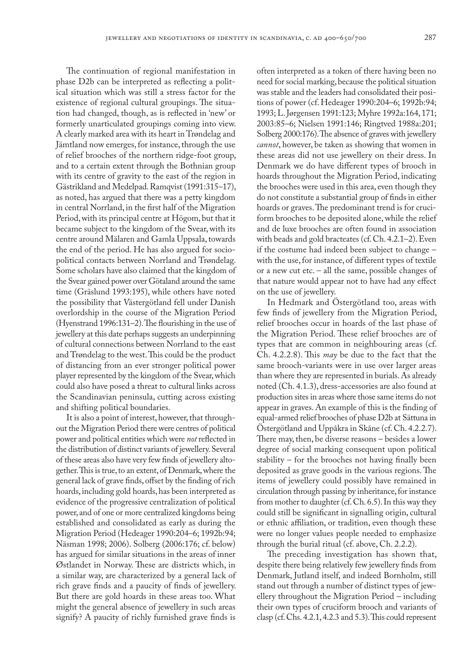The continuation of regional manifestation in phase D2b can be interpreted as reflecting a political situation which was still a stress factor for the existence of regional cultural groupings. The situation had changed, though, as is reflected in 'new' or formerly unarticulated groupings coming into view. A clearly marked area with its heart in Trøndelag and Jämtland now emerges, for instance, through the use of relief brooches of the northern ridge-foot group, and to a certain extent through the Bothnian group with its centre of gravity to the east of the region in Gästrikland and Medelpad. Ramqvist (1991:315–17), as noted, has argued that there was a petty kingdom in central Norrland, in the first half of the Migration Period, with its principal centre at Högom, but that it became subject to the kingdom of the Svear, with its centre around Mälaren and Gamla Uppsala, towards the end of the period. He has also argued for sociopolitical contacts between Norrland and Trøndelag. Some scholars have also claimed that the kingdom of the Svear gained power over Götaland around the same time (Gräslund 1993:195), while others have noted the possibility that Västergötland fell under Danish overlordship in the course of the Migration Period (Hyenstrand 1996:131–2). The flourishing in the use of jewellery at this date perhaps suggests an underpinning of cultural connections between Norrland to the east and Trøndelag to the west. This could be the product of distancing from an ever stronger political power player represented by the kingdom of the Svear, which could also have posed a threat to cultural links across the Scandinavian peninsula, cutting across existing and shifting political boundaries.

It is also a point of interest, however, that throughout the Migration Period there were centres of political power and political entities which were *not* reflected in the distribution of distinct variants of jewellery. Several of these areas also have very few finds of jewellery altogether. This is true, to an extent, of Denmark, where the general lack of grave finds, offset by the finding of rich hoards, including gold hoards, has been interpreted as evidence of the progressive centralization of political power, and of one or more centralized kingdoms being established and consolidated as early as during the Migration Period (Hedeager 1990:204–6; 1992b:94; Näsman 1998; 2006). Solberg (2006:176; cf. below) has argued for similar situations in the areas of inner Østlandet in Norway. These are districts which, in a similar way, are characterized by a general lack of rich grave finds and a paucity of finds of jewellery. But there are gold hoards in these areas too. What might the general absence of jewellery in such areas signify? A paucity of richly furnished grave finds is

often interpreted as a token of there having been no need for social marking, because the political situation was stable and the leaders had consolidated their positions of power (cf. Hedeager 1990:204–6; 1992b:94; 1993; L. Jørgensen 1991:123; Myhre 1992a:164, 171; 2003:85–6; Nielsen 1991:146; Ringtved 1988a:201; Solberg 2000:176). The absence of graves with jewellery *cannot*, however, be taken as showing that women in these areas did not use jewellery on their dress. In Denmark we do have different types of brooch in hoards throughout the Migration Period, indicating the brooches were used in this area, even though they do not constitute a substantial group of finds in either hoards or graves. The predominant trend is for cruciform brooches to be deposited alone, while the relief and de luxe brooches are often found in association with beads and gold bracteates (cf. Ch. 4.2.1–2). Even if the costume had indeed been subject to change – with the use, for instance, of different types of textile or a new cut etc. – all the same, possible changes of that nature would appear not to have had any effect on the use of jewellery.

In Hedmark and Östergötland too, areas with few finds of jewellery from the Migration Period, relief brooches occur in hoards of the last phase of the Migration Period. These relief brooches are of types that are common in neighbouring areas (cf. Ch. 4.2.2.8). This *may* be due to the fact that the same brooch-variants were in use over larger areas than where they are represented in burials. As already noted (Ch. 4.1.3), dress-accessories are also found at production sites in areas where those same items do not appear in graves. An example of this is the finding of equal-armed relief brooches of phase D2b at Sättuna in Östergötland and Uppåkra in Skåne (cf. Ch. 4.2.2.7). There may, then, be diverse reasons – besides a lower degree of social marking consequent upon political stability – for the brooches not having finally been deposited as grave goods in the various regions. The items of jewellery could possibly have remained in circulation through passing by inheritance, for instance from mother to daughter (cf. Ch. 6.5). In this way they could still be significant in signalling origin, cultural or ethnic affiliation, or tradition, even though these were no longer values people needed to emphasize through the burial ritual (cf. above, Ch. 2.2.2).

The preceding investigation has shown that, despite there being relatively few jewellery finds from Denmark, Jutland itself, and indeed Bornholm, still stand out through a number of distinct types of jewellery throughout the Migration Period – including their own types of cruciform brooch and variants of clasp (cf. Chs. 4.2.1, 4.2.3 and 5.3). This could represent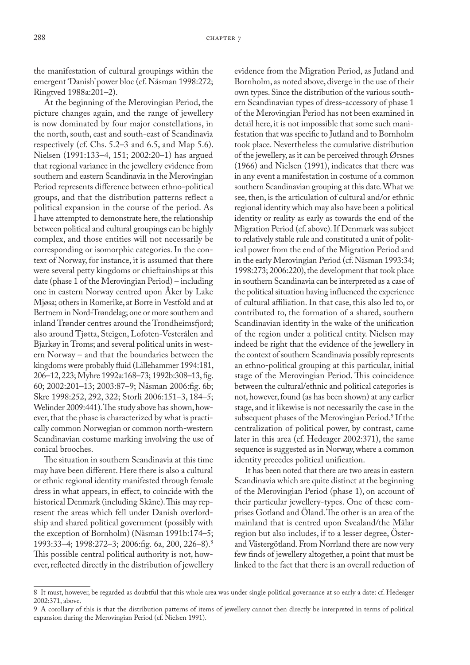the manifestation of cultural groupings within the emergent 'Danish' power bloc (cf. Näsman 1998:272; Ringtved 1988a:201–2).

At the beginning of the Merovingian Period, the picture changes again, and the range of jewellery is now dominated by four major constellations, in the north, south, east and south-east of Scandinavia respectively (cf. Chs. 5.2–3 and 6.5, and Map 5.6). Nielsen (1991:133–4, 151; 2002:20–1) has argued that regional variance in the jewellery evidence from southern and eastern Scandinavia in the Merovingian Period represents difference between ethno-political groups, and that the distribution patterns reflect a political expansion in the course of the period. As I have attempted to demonstrate here, the relationship between political and cultural groupings can be highly complex, and those entities will not necessarily be corresponding or isomorphic categories. In the context of Norway, for instance, it is assumed that there were several petty kingdoms or chieftainships at this date (phase 1 of the Merovingian Period) – including one in eastern Norway centred upon Åker by Lake Mjøsa; others in Romerike, at Borre in Vestfold and at Bertnem in Nord-Trøndelag; one or more southern and inland Trønder centres around the Trondheimsfjord; also around Tjøtta, Steigen, Lofoten-Vesterålen and Bjarkøy in Troms; and several political units in western Norway – and that the boundaries between the kingdoms were probably fluid (Lillehammer 1994:181, 206–12, 223; Myhre 1992a:168–73; 1992b:308–13, fig. 60; 2002:201–13; 2003:87–9; Näsman 2006:fig. 6b; Skre 1998:252, 292, 322; Storli 2006:151–3, 184–5; Welinder 2009:441). The study above has shown, however, that the phase is characterized by what is practically common Norwegian or common north-western Scandinavian costume marking involving the use of conical brooches.

The situation in southern Scandinavia at this time may have been different. Here there is also a cultural or ethnic regional identity manifested through female dress in what appears, in effect, to coincide with the historical Denmark (including Skåne). This may represent the areas which fell under Danish overlordship and shared political government (possibly with the exception of Bornholm) (Näsman 1991b:174–5; 1993:33–4; 1998:272–3; 2006:fig. 6a, 200, 226–8).8 This possible central political authority is not, however, reflected directly in the distribution of jewellery

evidence from the Migration Period, as Jutland and Bornholm, as noted above, diverge in the use of their own types. Since the distribution of the various southern Scandinavian types of dress-accessory of phase 1 of the Merovingian Period has not been examined in detail here, it is not impossible that some such manifestation that was specific to Jutland and to Bornholm took place. Nevertheless the cumulative distribution of the jewellery, as it can be perceived through Ørsnes (1966) and Nielsen (1991), indicates that there was in any event a manifestation in costume of a common southern Scandinavian grouping at this date. What we see, then, is the articulation of cultural and/or ethnic regional identity which may also have been a political identity or reality as early as towards the end of the Migration Period (cf. above). If Denmark was subject to relatively stable rule and constituted a unit of political power from the end of the Migration Period and in the early Merovingian Period (cf. Näsman 1993:34; 1998:273; 2006:220), the development that took place in southern Scandinavia can be interpreted as a case of the political situation having influenced the experience of cultural affiliation. In that case, this also led to, or contributed to, the formation of a shared, southern Scandinavian identity in the wake of the unification of the region under a political entity. Nielsen may indeed be right that the evidence of the jewellery in the context of southern Scandinavia possibly represents an ethno-political grouping at this particular, initial stage of the Merovingian Period. This coincidence between the cultural/ethnic and political categories is not, however, found (as has been shown) at any earlier stage, and it likewise is not necessarily the case in the subsequent phases of the Merovingian Period.9 If the centralization of political power, by contrast, came later in this area (cf. Hedeager 2002:371), the same sequence is suggested as in Norway, where a common identity precedes political unification.

It has been noted that there are two areas in eastern Scandinavia which are quite distinct at the beginning of the Merovingian Period (phase 1), on account of their particular jewellery-types. One of these comprises Gotland and Öland. The other is an area of the mainland that is centred upon Svealand/the Mälar region but also includes, if to a lesser degree, Österand Västergötland. From Norrland there are now very few finds of jewellery altogether, a point that must be linked to the fact that there is an overall reduction of

<sup>8</sup> It must, however, be regarded as doubtful that this whole area was under single political governance at so early a date: cf. Hedeager 2002:371, above.

<sup>9</sup> A corollary of this is that the distribution patterns of items of jewellery cannot then directly be interpreted in terms of political expansion during the Merovingian Period (cf. Nielsen 1991).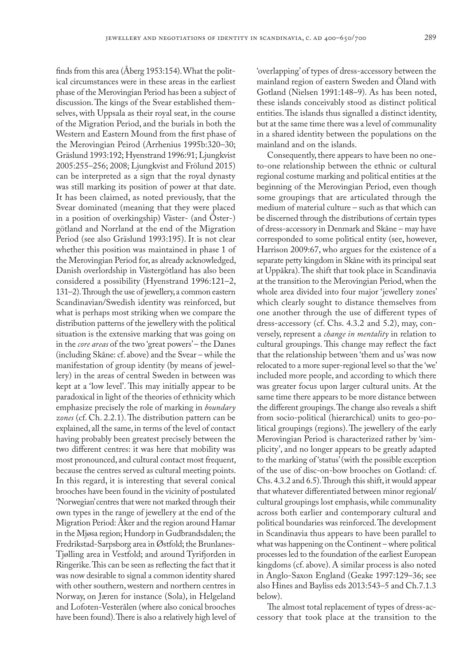finds from this area (Åberg 1953:154). What the political circumstances were in these areas in the earliest phase of the Merovingian Period has been a subject of discussion. The kings of the Svear established themselves, with Uppsala as their royal seat, in the course of the Migration Period, and the burials in both the Western and Eastern Mound from the first phase of the Merovingian Peirod (Arrhenius 1995b:320–30; Gräslund 1993:192; Hyenstrand 1996:91; Ljungkvist 2005:255–256; 2008; Ljungkvist and Frölund 2015) can be interpreted as a sign that the royal dynasty was still marking its position of power at that date. It has been claimed, as noted previously, that the Svear dominated (meaning that they were placed in a position of overkingship) Väster- (and Öster-) götland and Norrland at the end of the Migration Period (see also Gräslund 1993:195). It is not clear whether this position was maintained in phase 1 of the Merovingian Period for, as already acknowledged, Danish overlordship in Västergötland has also been considered a possibility (Hyenstrand 1996:121–2, 131–2). Through the use of jewellery, a common eastern Scandinavian/Swedish identity was reinforced, but what is perhaps most striking when we compare the distribution patterns of the jewellery with the political situation is the extensive marking that was going on in the *core areas* of the two 'great powers' – the Danes (including Skåne: cf. above) and the Svear – while the manifestation of group identity (by means of jewellery) in the areas of central Sweden in between was kept at a 'low level'. This may initially appear to be paradoxical in light of the theories of ethnicity which emphasize precisely the role of marking in *boundary zones* (cf. Ch. 2.2.1). The distribution pattern can be explained, all the same, in terms of the level of contact having probably been greatest precisely between the two different centres: it was here that mobility was most pronounced, and cultural contact most frequent, because the centres served as cultural meeting points. In this regard, it is interesting that several conical brooches have been found in the vicinity of postulated 'Norwegian' centres that were not marked through their own types in the range of jewellery at the end of the Migration Period: Åker and the region around Hamar in the Mjøsa region; Hundorp in Gudbrandsdalen; the Fredrikstad-Sarpsborg area in Østfold; the Brunlanes-Tjølling area in Vestfold; and around Tyrifjorden in Ringerike. This can be seen as reflecting the fact that it was now desirable to signal a common identity shared with other southern, western and northern centres in Norway, on Jæren for instance (Sola), in Helgeland and Lofoten-Vesterålen (where also conical brooches have been found). There is also a relatively high level of

'overlapping' of types of dress-accessory between the mainland region of eastern Sweden and Öland with Gotland (Nielsen 1991:148–9). As has been noted, these islands conceivably stood as distinct political entities. The islands thus signalled a distinct identity, but at the same time there was a level of communality in a shared identity between the populations on the mainland and on the islands.

Consequently, there appears to have been no oneto-one relationship between the ethnic or cultural regional costume marking and political entities at the beginning of the Merovingian Period, even though some groupings that are articulated through the medium of material culture – such as that which can be discerned through the distributions of certain types of dress-accessory in Denmark and Skåne – may have corresponded to some political entity (see, however, Harrison 2009:67, who argues for the existence of a separate petty kingdom in Skåne with its principal seat at Uppåkra). The shift that took place in Scandinavia at the transition to the Merovingian Period, when the whole area divided into four major 'jewellery zones' which clearly sought to distance themselves from one another through the use of different types of dress-accessory (cf. Chs. 4.3.2 and 5.2), may, conversely, represent a *change in mentality* in relation to cultural groupings. This change may reflect the fact that the relationship between 'them and us' was now relocated to a more super-regional level so that the 'we' included more people, and according to which there was greater focus upon larger cultural units. At the same time there appears to be more distance between the different groupings. The change also reveals a shift from socio-political (hierarchical) units to geo-political groupings (regions). The jewellery of the early Merovingian Period is characterized rather by 'simplicity', and no longer appears to be greatly adapted to the marking of 'status' (with the possible exception of the use of disc-on-bow brooches on Gotland: cf. Chs. 4.3.2 and 6.5). Through this shift, it would appear that whatever differentiated between minor regional/ cultural groupings lost emphasis, while communality across both earlier and contemporary cultural and political boundaries was reinforced. The development in Scandinavia thus appears to have been parallel to what was happening on the Continent – where political processes led to the foundation of the earliest European kingdoms (cf. above). A similar process is also noted in Anglo-Saxon England (Geake 1997:129–36; see also Hines and Bayliss eds 2013:543–5 and Ch.7.1.3 below).

The almost total replacement of types of dress-accessory that took place at the transition to the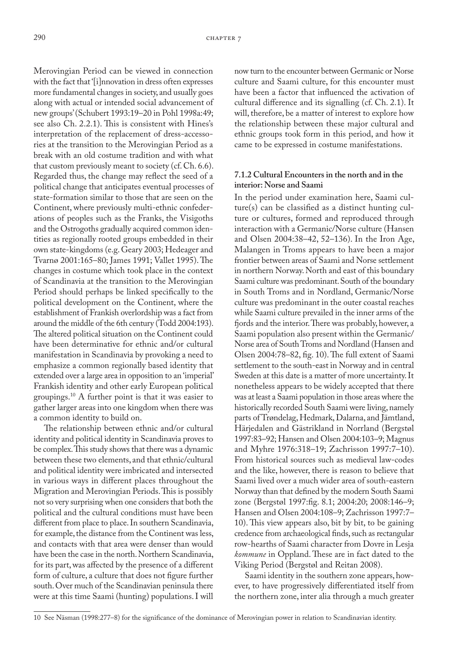Merovingian Period can be viewed in connection with the fact that '[i]nnovation in dress often expresses more fundamental changes in society, and usually goes along with actual or intended social advancement of new groups' (Schubert 1993:19–20 in Pohl 1998a:49; see also Ch. 2.2.1). This is consistent with Hines's interpretation of the replacement of dress-accessories at the transition to the Merovingian Period as a break with an old costume tradition and with what that custom previously meant to society (cf. Ch. 6.6). Regarded thus, the change may reflect the seed of a political change that anticipates eventual processes of state-formation similar to those that are seen on the Continent, where previously multi-ethnic confederations of peoples such as the Franks, the Visigoths and the Ostrogoths gradually acquired common identities as regionally rooted groups embedded in their own state-kingdoms (e.g. Geary 2003; Hedeager and Tvarnø 2001:165–80; James 1991; Vallet 1995). The changes in costume which took place in the context of Scandinavia at the transition to the Merovingian Period should perhaps be linked specifically to the political development on the Continent, where the establishment of Frankish overlordship was a fact from around the middle of the 6th century (Todd 2004:193). The altered political situation on the Continent could have been determinative for ethnic and/or cultural manifestation in Scandinavia by provoking a need to emphasize a common regionally based identity that extended over a large area in opposition to an 'imperial' Frankish identity and other early European political groupings.10 A further point is that it was easier to gather larger areas into one kingdom when there was a common identity to build on.

The relationship between ethnic and/or cultural identity and political identity in Scandinavia proves to be complex. This study shows that there was a dynamic between these two elements, and that ethnic/cultural and political identity were imbricated and intersected in various ways in different places throughout the Migration and Merovingian Periods. This is possibly not so very surprising when one considers that both the political and the cultural conditions must have been different from place to place. In southern Scandinavia, for example, the distance from the Continent was less, and contacts with that area were denser than would have been the case in the north. Northern Scandinavia, for its part, was affected by the presence of a different form of culture, a culture that does not figure further south. Over much of the Scandinavian peninsula there were at this time Saami (hunting) populations. I will

now turn to the encounter between Germanic or Norse culture and Saami culture, for this encounter must have been a factor that influenced the activation of cultural difference and its signalling (cf. Ch. 2.1). It will, therefore, be a matter of interest to explore how the relationship between these major cultural and ethnic groups took form in this period, and how it came to be expressed in costume manifestations.

#### **7.1.2 Cultural Encounters in the north and in the interior: Norse and Saami**

In the period under examination here, Saami culture(s) can be classified as a distinct hunting culture or cultures, formed and reproduced through interaction with a Germanic/Norse culture (Hansen and Olsen 2004:38–42, 52–136). In the Iron Age, Malangen in Troms appears to have been a major frontier between areas of Saami and Norse settlement in northern Norway. North and east of this boundary Saami culture was predominant. South of the boundary in South Troms and in Nordland, Germanic/Norse culture was predominant in the outer coastal reaches while Saami culture prevailed in the inner arms of the fjords and the interior. There was probably, however, a Saami population also present within the Germanic/ Norse area of South Troms and Nordland (Hansen and Olsen 2004:78–82, fig. 10). The full extent of Saami settlement to the south-east in Norway and in central Sweden at this date is a matter of more uncertainty. It nonetheless appears to be widely accepted that there was at least a Saami population in those areas where the historically recorded South Saami were living, namely parts of Trøndelag, Hedmark, Dalarna, and Jämtland, Härjedalen and Gästrikland in Norrland (Bergstøl 1997:83–92; Hansen and Olsen 2004:103–9; Magnus and Myhre 1976:318–19; Zachrisson 1997:7–10). From historical sources such as medieval law-codes and the like, however, there is reason to believe that Saami lived over a much wider area of south-eastern Norway than that defined by the modern South Saami zone (Bergstøl 1997:fig. 8.1; 2004:20; 2008:146–9; Hansen and Olsen 2004:108–9; Zachrisson 1997:7– 10). This view appears also, bit by bit, to be gaining credence from archaeological finds, such as rectangular row-hearths of Saami character from Dovre in Lesja *kommune* in Oppland. These are in fact dated to the Viking Period (Bergstøl and Reitan 2008).

Saami identity in the southern zone appears, however, to have progressively differentiated itself from the northern zone, inter alia through a much greater

<sup>10</sup> See Näsman (1998:277–8) for the significance of the dominance of Merovingian power in relation to Scandinavian identity.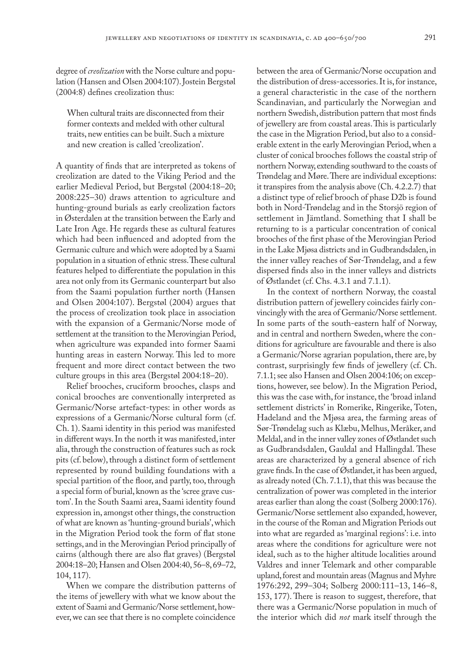degree of *creolization* with the Norse culture and population (Hansen and Olsen 2004:107). Jostein Bergstøl (2004:8) defines creolization thus:

When cultural traits are disconnected from their former contexts and melded with other cultural traits, new entities can be built. Such a mixture and new creation is called 'creolization'.

A quantity of finds that are interpreted as tokens of creolization are dated to the Viking Period and the earlier Medieval Period, but Bergstøl (2004:18–20; 2008:225–30) draws attention to agriculture and hunting-ground burials as early creolization factors in Østerdalen at the transition between the Early and Late Iron Age. He regards these as cultural features which had been influenced and adopted from the Germanic culture and which were adopted by a Saami population in a situation of ethnic stress. These cultural features helped to differentiate the population in this area not only from its Germanic counterpart but also from the Saami population further north (Hansen and Olsen 2004:107). Bergstøl (2004) argues that the process of creolization took place in association with the expansion of a Germanic/Norse mode of settlement at the transition to the Merovingian Period, when agriculture was expanded into former Saami hunting areas in eastern Norway. This led to more frequent and more direct contact between the two culture groups in this area (Bergstøl 2004:18–20).

Relief brooches, cruciform brooches, clasps and conical brooches are conventionally interpreted as Germanic/Norse artefact-types: in other words as expressions of a Germanic/Norse cultural form (cf. Ch. 1). Saami identity in this period was manifested in different ways. In the north it was manifested, inter alia, through the construction of features such as rock pits (cf. below), through a distinct form of settlement represented by round building foundations with a special partition of the floor, and partly, too, through a special form of burial, known as the 'scree grave custom'. In the South Saami area, Saami identity found expression in, amongst other things, the construction of what are known as 'hunting-ground burials', which in the Migration Period took the form of flat stone settings, and in the Merovingian Period principally of cairns (although there are also flat graves) (Bergstøl 2004:18–20; Hansen and Olsen 2004:40, 56–8, 69–72, 104, 117).

When we compare the distribution patterns of the items of jewellery with what we know about the extent of Saami and Germanic/Norse settlement, however, we can see that there is no complete coincidence

between the area of Germanic/Norse occupation and the distribution of dress-accessories. It is, for instance, a general characteristic in the case of the northern Scandinavian, and particularly the Norwegian and northern Swedish, distribution pattern that most finds of jewellery are from coastal areas. This is particularly the case in the Migration Period, but also to a considerable extent in the early Merovingian Period, when a cluster of conical brooches follows the coastal strip of northern Norway, extending southward to the coasts of Trøndelag and Møre. There are individual exceptions: it transpires from the analysis above (Ch. 4.2.2.7) that a distinct type of relief brooch of phase D2b is found both in Nord-Trøndelag and in the Storsjö region of settlement in Jämtland. Something that I shall be returning to is a particular concentration of conical brooches of the first phase of the Merovingian Period in the Lake Mjøsa districts and in Gudbrandsdalen, in the inner valley reaches of Sør-Trøndelag, and a few dispersed finds also in the inner valleys and districts of Østlandet (cf. Chs. 4.3.1 and 7.1.1).

In the context of northern Norway, the coastal distribution pattern of jewellery coincides fairly convincingly with the area of Germanic/Norse settlement. In some parts of the south-eastern half of Norway, and in central and northern Sweden, where the conditions for agriculture are favourable and there is also a Germanic/Norse agrarian population, there are, by contrast, surprisingly few finds of jewellery (cf. Ch. 7.1.1; see also Hansen and Olsen 2004:106; on exceptions, however, see below). In the Migration Period, this was the case with, for instance, the 'broad inland settlement districts' in Romerike, Ringerike, Toten, Hadeland and the Mjøsa area, the farming areas of Sør-Trøndelag such as Klæbu, Melhus, Meråker, and Meldal, and in the inner valley zones of Østlandet such as Gudbrandsdalen, Gauldal and Hallingdal. These areas are characterized by a general absence of rich grave finds. In the case of Østlandet, it has been argued, as already noted (Ch. 7.1.1), that this was because the centralization of power was completed in the interior areas earlier than along the coast (Solberg 2000:176). Germanic/Norse settlement also expanded, however, in the course of the Roman and Migration Periods out into what are regarded as 'marginal regions': i.e. into areas where the conditions for agriculture were not ideal, such as to the higher altitude localities around Valdres and inner Telemark and other comparable upland, forest and mountain areas (Magnus and Myhre 1976:292, 299–304; Solberg 2000:111–13, 146–8, 153, 177). There is reason to suggest, therefore, that there was a Germanic/Norse population in much of the interior which did *not* mark itself through the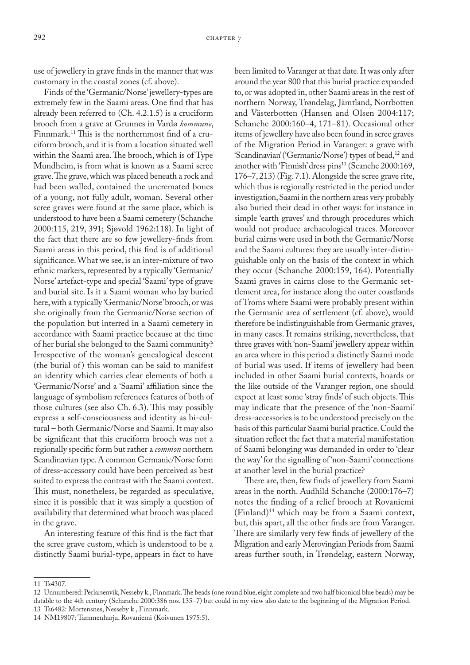use of jewellery in grave finds in the manner that was customary in the coastal zones (cf. above).

Finds of the 'Germanic/Norse' jewellery-types are extremely few in the Saami areas. One find that has already been referred to (Ch. 4.2.1.5) is a cruciform brooch from a grave at Grunnes in Vardø *kommune*, Finnmark.11 This is the northernmost find of a cruciform brooch, and it is from a location situated well within the Saami area. The brooch, which is of Type Mundheim, is from what is known as a Saami scree grave. The grave, which was placed beneath a rock and had been walled, contained the uncremated bones of a young, not fully adult, woman. Several other scree graves were found at the same place, which is understood to have been a Saami cemetery (Schanche 2000:115, 219, 391; Sjøvold 1962:118). In light of the fact that there are so few jewellery-finds from Saami areas in this period, this find is of additional significance. What we see, is an inter-mixture of two ethnic markers, represented by a typically 'Germanic/ Norse' artefact-type and special 'Saami' type of grave and burial site. Is it a Saami woman who lay buried here, with a typically 'Germanic/Norse' brooch, or was she originally from the Germanic/Norse section of the population but interred in a Saami cemetery in accordance with Saami practice because at the time of her burial she belonged to the Saami community? Irrespective of the woman's genealogical descent (the burial of) this woman can be said to manifest an identity which carries clear elements of both a 'Germanic/Norse' and a 'Saami' affiliation since the language of symbolism references features of both of those cultures (see also Ch. 6.3). This may possibly express a self-consciousness and identity as bi-cultural – both Germanic/Norse and Saami. It may also be significant that this cruciform brooch was not a regionally specific form but rather a *common* northern Scandinavian type. A common Germanic/Norse form of dress-accessory could have been perceived as best suited to express the contrast with the Saami context. This must, nonetheless, be regarded as speculative, since it is possible that it was simply a question of availability that determined what brooch was placed in the grave.

An interesting feature of this find is the fact that the scree grave custom, which is understood to be a distinctly Saami burial-type, appears in fact to have

been limited to Varanger at that date. It was only after around the year 800 that this burial practice expanded to, or was adopted in, other Saami areas in the rest of northern Norway, Trøndelag, Jämtland, Norrbotten and Västerbotten (Hansen and Olsen 2004:117; Schanche 2000:160–4, 171–81). Occasional other items of jewellery have also been found in scree graves of the Migration Period in Varanger: a grave with 'Scandinavian' ('Germanic/Norse') types of bead,<sup>12</sup> and another with 'Finnish' dress pins<sup>13</sup> (Scanche 2000:169, 176–7, 213) (Fig. 7.1). Alongside the scree grave rite, which thus is regionally restricted in the period under investigation, Saami in the northern areas very probably also buried their dead in other ways: for instance in simple 'earth graves' and through procedures which would not produce archaeological traces. Moreover burial cairns were used in both the Germanic/Norse and the Saami cultures: they are usually inter-distinguishable only on the basis of the context in which they occur (Schanche 2000:159, 164). Potentially Saami graves in cairns close to the Germanic settlement area, for instance along the outer coastlands of Troms where Saami were probably present within the Germanic area of settlement (cf. above), would therefore be indistinguishable from Germanic graves, in many cases. It remains striking, nevertheless, that three graves with 'non-Saami' jewellery appear within an area where in this period a distinctly Saami mode of burial was used. If items of jewellery had been included in other Saami burial contexts, hoards or the like outside of the Varanger region, one should expect at least some 'stray finds' of such objects. This may indicate that the presence of the 'non-Saami' dress-accessories is to be understood precisely on the basis of this particular Saami burial practice. Could the situation reflect the fact that a material manifestation of Saami belonging was demanded in order to 'clear the way' for the signalling of 'non-Saami' connections at another level in the burial practice?

There are, then, few finds of jewellery from Saami areas in the north. Audhild Schanche (2000:176–7) notes the finding of a relief brooch at Rovaniemi (Finland)14 which may be from a Saami context, but, this apart, all the other finds are from Varanger. There are similarly very few finds of jewellery of the Migration and early Merovingian Periods from Saami areas further south, in Trøndelag, eastern Norway,

<sup>11</sup> Ts4307.

<sup>12</sup> Unnumbered: Perlarsenvik, Nesseby k., Finnmark. The beads (one round blue, eight complete and two half biconical blue beads) may be datable to the 4th century (Schanche 2000:386 nos. 135–7) but could in my view also date to the beginning of the Migration Period. 13 Ts6482: Mortensnes, Nesseby k., Finnmark.

<sup>14</sup> NM19807: Tammenharju, Rovaniemi (Koivunen 1975:5).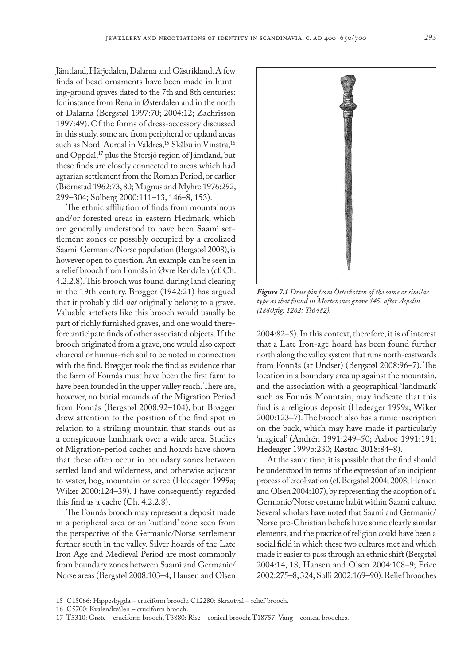Jämtland, Härjedalen, Dalarna and Gästrikland. A few finds of bead ornaments have been made in hunting-ground graves dated to the 7th and 8th centuries: for instance from Rena in Østerdalen and in the north of Dalarna (Bergstøl 1997:70; 2004:12; Zachrisson 1997:49). Of the forms of dress-accessory discussed in this study, some are from peripheral or upland areas such as Nord-Aurdal in Valdres,<sup>15</sup> Skåbu in Vinstra,<sup>16</sup> and Oppdal,<sup>17</sup> plus the Storsjö region of Jämtland, but these finds are closely connected to areas which had agrarian settlement from the Roman Period, or earlier (Biörnstad 1962:73, 80; Magnus and Myhre 1976:292, 299–304; Solberg 2000:111–13, 146–8, 153).

The ethnic affiliation of finds from mountainous and/or forested areas in eastern Hedmark, which are generally understood to have been Saami settlement zones or possibly occupied by a creolized Saami-Germanic/Norse population (Bergstøl 2008), is however open to question. An example can be seen in a relief brooch from Fonnås in Øvre Rendalen (cf. Ch. 4.2.2.8). This brooch was found during land clearing in the 19th century. Brøgger (1942:21) has argued that it probably did *not* originally belong to a grave. Valuable artefacts like this brooch would usually be part of richly furnished graves, and one would therefore anticipate finds of other associated objects. If the brooch originated from a grave, one would also expect charcoal or humus-rich soil to be noted in connection with the find. Brøgger took the find as evidence that the farm of Fonnås must have been the first farm to have been founded in the upper valley reach. There are, however, no burial mounds of the Migration Period from Fonnås (Bergstøl 2008:92–104), but Brøgger drew attention to the position of the find spot in relation to a striking mountain that stands out as a conspicuous landmark over a wide area. Studies of Migration-period caches and hoards have shown that these often occur in boundary zones between settled land and wilderness, and otherwise adjacent to water, bog, mountain or scree (Hedeager 1999a; Wiker 2000:124–39). I have consequently regarded this find as a cache (Ch. 4.2.2.8).

The Fonnås brooch may represent a deposit made in a peripheral area or an 'outland' zone seen from the perspective of the Germanic/Norse settlement further south in the valley. Silver hoards of the Late Iron Age and Medieval Period are most commonly from boundary zones between Saami and Germanic/ Norse areas (Bergstøl 2008:103–4; Hansen and Olsen



*Figure 7.1 Dress pin from Österbotten of the same or similar type as that found in Mortensnes grave 145, after Aspelin (1880:fig. 1262; Ts6482).*

2004:82–5). In this context, therefore, it is of interest that a Late Iron-age hoard has been found further north along the valley system that runs north-eastwards from Fonnås (at Undset) (Bergstøl 2008:96–7). The location in a boundary area up against the mountain, and the association with a geographical 'landmark' such as Fonnås Mountain, may indicate that this find is a religious deposit (Hedeager 1999a; Wiker 2000:123–7). The brooch also has a runic inscription on the back, which may have made it particularly 'magical' (Andrén 1991:249–50; Axboe 1991:191; Hedeager 1999b:230; Røstad 2018:84–8).

At the same time, it is possible that the find should be understood in terms of the expression of an incipient process of creolization (cf. Bergstøl 2004; 2008; Hansen and Olsen 2004:107), by representing the adoption of a Germanic/Norse costume habit within Saami culture. Several scholars have noted that Saami and Germanic/ Norse pre-Christian beliefs have some clearly similar elements, and the practice of religion could have been a social field in which these two cultures met and which made it easier to pass through an ethnic shift (Bergstøl 2004:14, 18; Hansen and Olsen 2004:108–9; Price 2002:275–8, 324; Solli 2002:169–90). Relief brooches

<sup>15</sup> C15066: Hippesbygda – cruciform brooch; C12280: Skrautval – relief brooch.

<sup>16</sup> C5700: Kvalen/kvålen – cruciform brooch.

<sup>17</sup> T5310: Grøte – cruciform brooch; T3880: Rise – conical brooch; T18757: Vang – conical brooches.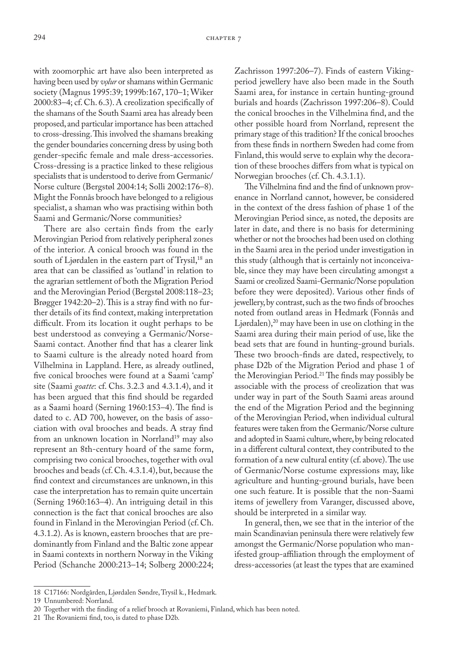with zoomorphic art have also been interpreted as having been used by *volur* or shamans within Germanic society (Magnus 1995:39; 1999b:167, 170–1; Wiker 2000:83–4; cf. Ch. 6.3). A creolization specifically of the shamans of the South Saami area has already been proposed, and particular importance has been attached to cross-dressing. This involved the shamans breaking the gender boundaries concerning dress by using both gender-specific female and male dress-accessories. Cross-dressing is a practice linked to these religious specialists that is understood to derive from Germanic/ Norse culture (Bergstøl 2004:14; Solli 2002:176–8). Might the Fonnås brooch have belonged to a religious specialist, a shaman who was practising within both Saami and Germanic/Norse communities?

There are also certain finds from the early Merovingian Period from relatively peripheral zones of the interior. A conical brooch was found in the south of Ljørdalen in the eastern part of Trysil,<sup>18</sup> an area that can be classified as 'outland' in relation to the agrarian settlement of both the Migration Period and the Merovingian Period (Bergstøl 2008:118–23; Brøgger 1942:20–2). This is a stray find with no further details of its find context, making interpretation difficult. From its location it ought perhaps to be best understood as conveying a Germanic/Norse-Saami contact. Another find that has a clearer link to Saami culture is the already noted hoard from Vilhelmina in Lappland. Here, as already outlined, five conical brooches were found at a Saami 'camp' site (Saami *goatte*: cf. Chs. 3.2.3 and 4.3.1.4), and it has been argued that this find should be regarded as a Saami hoard (Serning 1960:153–4). The find is dated to c. AD 700, however, on the basis of association with oval brooches and beads. A stray find from an unknown location in Norrland<sup>19</sup> may also represent an 8th-century hoard of the same form, comprising two conical brooches, together with oval brooches and beads (cf. Ch. 4.3.1.4), but, because the find context and circumstances are unknown, in this case the interpretation has to remain quite uncertain (Serning 1960:163–4). An intriguing detail in this connection is the fact that conical brooches are also found in Finland in the Merovingian Period (cf. Ch. 4.3.1.2). As is known, eastern brooches that are predominantly from Finland and the Baltic zone appear in Saami contexts in northern Norway in the Viking Period (Schanche 2000:213–14; Solberg 2000:224;

Zachrisson 1997:206–7). Finds of eastern Vikingperiod jewellery have also been made in the South Saami area, for instance in certain hunting-ground burials and hoards (Zachrisson 1997:206–8). Could the conical brooches in the Vilhelmina find, and the other possible hoard from Norrland, represent the primary stage of this tradition? If the conical brooches from these finds in northern Sweden had come from Finland, this would serve to explain why the decoration of these brooches differs from what is typical on Norwegian brooches (cf. Ch. 4.3.1.1).

The Vilhelmina find and the find of unknown provenance in Norrland cannot, however, be considered in the context of the dress fashion of phase 1 of the Merovingian Period since, as noted, the deposits are later in date, and there is no basis for determining whether or not the brooches had been used on clothing in the Saami area in the period under investigation in this study (although that is certainly not inconceivable, since they may have been circulating amongst a Saami or creolized Saami-Germanic/Norse population before they were deposited). Various other finds of jewellery, by contrast, such as the two finds of brooches noted from outland areas in Hedmark (Fonnås and Ljørdalen),<sup>20</sup> may have been in use on clothing in the Saami area during their main period of use, like the bead sets that are found in hunting-ground burials. These two brooch-finds are dated, respectively, to phase D2b of the Migration Period and phase 1 of the Merovingian Period.<sup>21</sup> The finds may possibly be associable with the process of creolization that was under way in part of the South Saami areas around the end of the Migration Period and the beginning of the Merovingian Period, when individual cultural features were taken from the Germanic/Norse culture and adopted in Saami culture, where, by being relocated in a different cultural context, they contributed to the formation of a new cultural entity (cf. above). The use of Germanic/Norse costume expressions may, like agriculture and hunting-ground burials, have been one such feature. It is possible that the non-Saami items of jewellery from Varanger, discussed above, should be interpreted in a similar way.

In general, then, we see that in the interior of the main Scandinavian peninsula there were relatively few amongst the Germanic/Norse population who manifested group-affiliation through the employment of dress-accessories (at least the types that are examined

<sup>18</sup> C17166: Nordgården, Ljørdalen Søndre, Trysil k., Hedmark.

<sup>19</sup> Unnumbered: Norrland.

<sup>20</sup> Together with the finding of a relief brooch at Rovaniemi, Finland, which has been noted.

<sup>21</sup> The Rovaniemi find, too, is dated to phase D2b.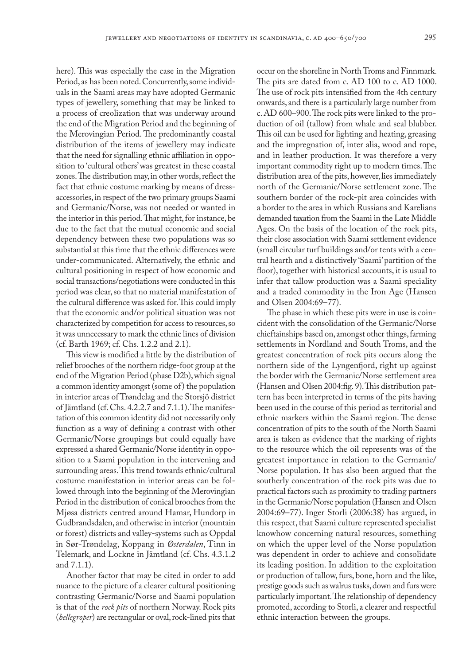here). This was especially the case in the Migration Period, as has been noted. Concurrently, some individuals in the Saami areas may have adopted Germanic types of jewellery, something that may be linked to a process of creolization that was underway around the end of the Migration Period and the beginning of the Merovingian Period. The predominantly coastal distribution of the items of jewellery may indicate that the need for signalling ethnic affiliation in opposition to 'cultural others' was greatest in these coastal zones. The distribution may, in other words, reflect the fact that ethnic costume marking by means of dressaccessories, in respect of the two primary groups Saami and Germanic/Norse, was not needed or wanted in the interior in this period. That might, for instance, be due to the fact that the mutual economic and social dependency between these two populations was so substantial at this time that the ethnic differences were under-communicated. Alternatively, the ethnic and cultural positioning in respect of how economic and social transactions/negotiations were conducted in this period was clear, so that no material manifestation of the cultural difference was asked for. This could imply that the economic and/or political situation was not characterized by competition for access to resources, so it was unnecessary to mark the ethnic lines of division (cf. Barth 1969; cf. Chs. 1.2.2 and 2.1).

This view is modified a little by the distribution of relief brooches of the northern ridge-foot group at the end of the Migration Period (phase D2b), which signal a common identity amongst (some of) the population in interior areas of Trøndelag and the Storsjö district of Jämtland (cf. Chs. 4.2.2.7 and 7.1.1). The manifestation of this common identity did not necessarily only function as a way of defining a contrast with other Germanic/Norse groupings but could equally have expressed a shared Germanic/Norse identity in opposition to a Saami population in the intervening and surrounding areas. This trend towards ethnic/cultural costume manifestation in interior areas can be followed through into the beginning of the Merovingian Period in the distribution of conical brooches from the Mjøsa districts centred around Hamar, Hundorp in Gudbrandsdalen, and otherwise in interior (mountain or forest) districts and valley-systems such as Oppdal in Sør-Trøndelag, Koppang in *Østerdalen*, Tinn in Telemark, and Lockne in Jämtland (cf. Chs. 4.3.1.2 and 7.1.1).

Another factor that may be cited in order to add nuance to the picture of a clearer cultural positioning contrasting Germanic/Norse and Saami population is that of the *rock pits* of northern Norway. Rock pits (*hellegroper*) are rectangular or oval, rock-lined pits that

occur on the shoreline in North Troms and Finnmark. The pits are dated from c. AD 100 to c. AD 1000. The use of rock pits intensified from the 4th century onwards, and there is a particularly large number from c. AD 600–900. The rock pits were linked to the production of oil (tallow) from whale and seal blubber. This oil can be used for lighting and heating, greasing and the impregnation of, inter alia, wood and rope, and in leather production. It was therefore a very important commodity right up to modern times. The distribution area of the pits, however, lies immediately north of the Germanic/Norse settlement zone. The southern border of the rock-pit area coincides with a border to the area in which Russians and Karelians demanded taxation from the Saami in the Late Middle Ages. On the basis of the location of the rock pits, their close association with Saami settlement evidence (small circular turf buildings and/or tents with a central hearth and a distinctively 'Saami' partition of the floor), together with historical accounts, it is usual to infer that tallow production was a Saami speciality and a traded commodity in the Iron Age (Hansen and Olsen 2004:69–77).

The phase in which these pits were in use is coincident with the consolidation of the Germanic/Norse chieftainships based on, amongst other things, farming settlements in Nordland and South Troms, and the greatest concentration of rock pits occurs along the northern side of the Lyngenfjord, right up against the border with the Germanic/Norse settlement area (Hansen and Olsen 2004:fig. 9). This distribution pattern has been interpreted in terms of the pits having been used in the course of this period as territorial and ethnic markers within the Saami region. The dense concentration of pits to the south of the North Saami area is taken as evidence that the marking of rights to the resource which the oil represents was of the greatest importance in relation to the Germanic/ Norse population. It has also been argued that the southerly concentration of the rock pits was due to practical factors such as proximity to trading partners in the Germanic/Norse population (Hansen and Olsen 2004:69–77). Inger Storli (2006:38) has argued, in this respect, that Saami culture represented specialist knowhow concerning natural resources, something on which the upper level of the Norse population was dependent in order to achieve and consolidate its leading position. In addition to the exploitation or production of tallow, furs, bone, horn and the like, prestige goods such as walrus tusks, down and furs were particularly important. The relationship of dependency promoted, according to Storli, a clearer and respectful ethnic interaction between the groups.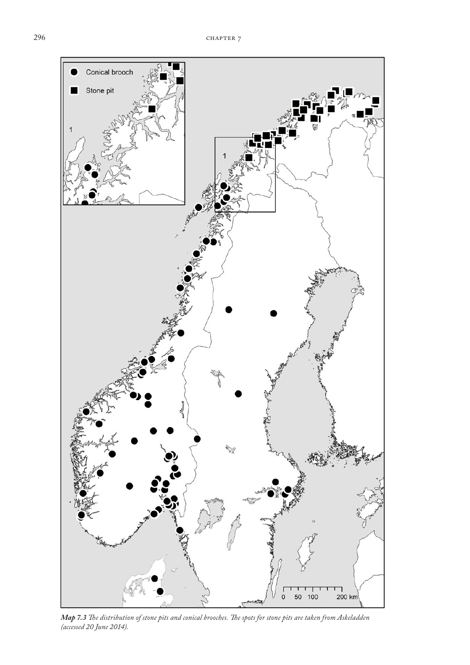

*Map 7.3 The distribution of stone pits and conical brooches. The spots for stone pits are taken from Askeladden (accessed 20 June 2014).*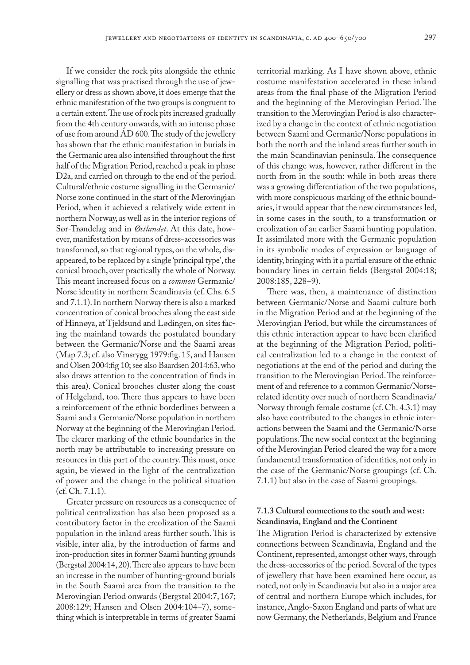If we consider the rock pits alongside the ethnic signalling that was practised through the use of jewellery or dress as shown above, it does emerge that the ethnic manifestation of the two groups is congruent to a certain extent. The use of rock pits increased gradually from the 4th century onwards, with an intense phase of use from around AD 600. The study of the jewellery has shown that the ethnic manifestation in burials in the Germanic area also intensified throughout the first half of the Migration Period, reached a peak in phase D2a, and carried on through to the end of the period. Cultural/ethnic costume signalling in the Germanic/ Norse zone continued in the start of the Merovingian Period, when it achieved a relatively wide extent in northern Norway, as well as in the interior regions of Sør-Trøndelag and in *Østlandet*. At this date, however, manifestation by means of dress-accessories was transformed, so that regional types, on the whole, disappeared, to be replaced by a single 'principal type', the conical brooch, over practically the whole of Norway. This meant increased focus on a *common* Germanic/ Norse identity in northern Scandinavia (cf. Chs. 6.5 and 7.1.1). In northern Norway there is also a marked concentration of conical brooches along the east side of Hinnøya, at Tjeldsund and Lødingen, on sites facing the mainland towards the postulated boundary between the Germanic/Norse and the Saami areas (Map 7.3; cf. also Vinsrygg 1979:fig. 15, and Hansen and Olsen 2004:fig 10; see also Baardsen 2014:63, who also draws attention to the concentration of finds in this area). Conical brooches cluster along the coast of Helgeland, too. There thus appears to have been a reinforcement of the ethnic borderlines between a Saami and a Germanic/Norse population in northern Norway at the beginning of the Merovingian Period. The clearer marking of the ethnic boundaries in the north may be attributable to increasing pressure on resources in this part of the country. This must, once again, be viewed in the light of the centralization of power and the change in the political situation (cf. Ch. 7.1.1).

Greater pressure on resources as a consequence of political centralization has also been proposed as a contributory factor in the creolization of the Saami population in the inland areas further south. This is visible, inter alia, by the introduction of farms and iron-production sites in former Saami hunting grounds (Bergstøl 2004:14, 20). There also appears to have been an increase in the number of hunting-ground burials in the South Saami area from the transition to the Merovingian Period onwards (Bergstøl 2004:7, 167; 2008:129; Hansen and Olsen 2004:104–7), something which is interpretable in terms of greater Saami

territorial marking. As I have shown above, ethnic costume manifestation accelerated in these inland areas from the final phase of the Migration Period and the beginning of the Merovingian Period. The transition to the Merovingian Period is also characterized by a change in the context of ethnic negotiation between Saami and Germanic/Norse populations in both the north and the inland areas further south in the main Scandinavian peninsula. The consequence of this change was, however, rather different in the north from in the south: while in both areas there was a growing differentiation of the two populations, with more conspicuous marking of the ethnic boundaries, it would appear that the new circumstances led, in some cases in the south, to a transformation or creolization of an earlier Saami hunting population. It assimilated more with the Germanic population in its symbolic modes of expression or language of identity, bringing with it a partial erasure of the ethnic boundary lines in certain fields (Bergstøl 2004:18; 2008:185, 228–9).

There was, then, a maintenance of distinction between Germanic/Norse and Saami culture both in the Migration Period and at the beginning of the Merovingian Period, but while the circumstances of this ethnic interaction appear to have been clarified at the beginning of the Migration Period, political centralization led to a change in the context of negotiations at the end of the period and during the transition to the Merovingian Period. The reinforcement of and reference to a common Germanic/Norserelated identity over much of northern Scandinavia/ Norway through female costume (cf. Ch. 4.3.1) may also have contributed to the changes in ethnic interactions between the Saami and the Germanic/Norse populations. The new social context at the beginning of the Merovingian Period cleared the way for a more fundamental transformation of identities, not only in the case of the Germanic/Norse groupings (cf. Ch. 7.1.1) but also in the case of Saami groupings.

# **7.1.3 Cultural connections to the south and west: Scandinavia, England and the Continent**

The Migration Period is characterized by extensive connections between Scandinavia, England and the Continent, represented, amongst other ways, through the dress-accessories of the period. Several of the types of jewellery that have been examined here occur, as noted, not only in Scandinavia but also in a major area of central and northern Europe which includes, for instance, Anglo-Saxon England and parts of what are now Germany, the Netherlands, Belgium and France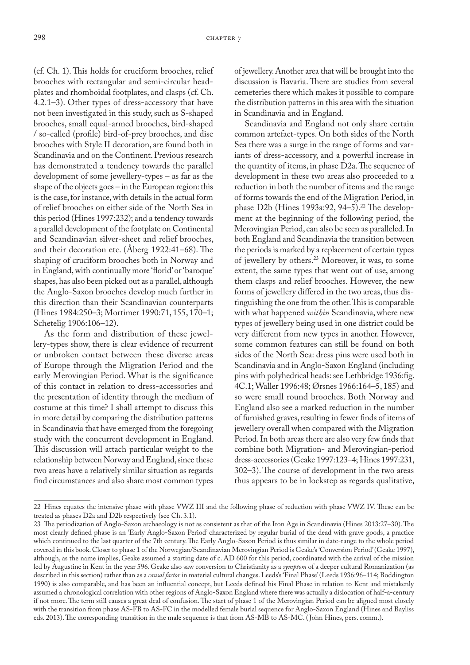(cf. Ch. 1). This holds for cruciform brooches, relief brooches with rectangular and semi-circular headplates and rhomboidal footplates, and clasps (cf. Ch. 4.2.1–3). Other types of dress-accessory that have not been investigated in this study, such as S-shaped brooches, small equal-armed brooches, bird-shaped / so-called (profile) bird-of-prey brooches, and disc brooches with Style II decoration, are found both in Scandinavia and on the Continent. Previous research has demonstrated a tendency towards the parallel development of some jewellery-types – as far as the shape of the objects goes – in the European region: this is the case, for instance, with details in the actual form of relief brooches on either side of the North Sea in this period (Hines 1997:232); and a tendency towards a parallel development of the footplate on Continental and Scandinavian silver-sheet and relief brooches, and their decoration etc. (Åberg 1922:41–68). The shaping of cruciform brooches both in Norway and in England, with continually more 'florid' or 'baroque' shapes, has also been picked out as a parallel, although the Anglo-Saxon brooches develop much further in this direction than their Scandinavian counterparts (Hines 1984:250–3; Mortimer 1990:71, 155, 170–1; Schetelig 1906:106–12).

As the form and distribution of these jewellery-types show, there is clear evidence of recurrent or unbroken contact between these diverse areas of Europe through the Migration Period and the early Merovingian Period. What is the significance of this contact in relation to dress-accessories and the presentation of identity through the medium of costume at this time? I shall attempt to discuss this in more detail by comparing the distribution patterns in Scandinavia that have emerged from the foregoing study with the concurrent development in England. This discussion will attach particular weight to the relationship between Norway and England, since these two areas have a relatively similar situation as regards find circumstances and also share most common types

of jewellery. Another area that will be brought into the discussion is Bavaria. There are studies from several cemeteries there which makes it possible to compare the distribution patterns in this area with the situation in Scandinavia and in England.

Scandinavia and England not only share certain common artefact-types. On both sides of the North Sea there was a surge in the range of forms and variants of dress-accessory, and a powerful increase in the quantity of items, in phase D2a. The sequence of development in these two areas also proceeded to a reduction in both the number of items and the range of forms towards the end of the Migration Period, in phase D2b (Hines 1993a:92, 94–5).<sup>22</sup> The development at the beginning of the following period, the Merovingian Period, can also be seen as paralleled. In both England and Scandinavia the transition between the periods is marked by a replacement of certain types of jewellery by others.23 Moreover, it was, to some extent, the same types that went out of use, among them clasps and relief brooches. However, the new forms of jewellery differed in the two areas, thus distinguishing the one from the other. This is comparable with what happened *within* Scandinavia, where new types of jewellery being used in one district could be very different from new types in another. However, some common features can still be found on both sides of the North Sea: dress pins were used both in Scandinavia and in Anglo-Saxon England (including pins with polyhedrical heads: see Lethbridge 1936:fig. 4C.1; Waller 1996:48; Ørsnes 1966:164–5, 185) and so were small round brooches. Both Norway and England also see a marked reduction in the number of furnished graves, resulting in fewer finds of items of jewellery overall when compared with the Migration Period. In both areas there are also very few finds that combine both Migration- and Merovingian-period dress-accessories (Geake 1997:123–4; Hines 1997:231, 302–3). The course of development in the two areas thus appears to be in lockstep as regards qualitative,

<sup>22</sup> Hines equates the intensive phase with phase VWZ III and the following phase of reduction with phase VWZ IV. These can be treated as phases D2a and D2b respectively (see Ch. 3.1).

<sup>23</sup> The periodization of Anglo-Saxon archaeology is not as consistent as that of the Iron Age in Scandinavia (Hines 2013:27–30). The most clearly defined phase is an 'Early Anglo-Saxon Period' characterized by regular burial of the dead with grave goods, a practice which continued to the last quarter of the 7th century. The Early Anglo-Saxon Period is thus similar in date-range to the whole period covered in this book. Closer to phase 1 of the Norwegian/Scandinavian Merovingian Period is Geake's 'Conversion Period' (Geake 1997), although, as the name implies, Geake assumed a starting date of c. AD 600 for this period, coordinated with the arrival of the mission led by Augustine in Kent in the year 596. Geake also saw conversion to Christianity as a *symptom* of a deeper cultural Romanization (as described in this section) rather than as a *causal factor* in material cultural changes. Leeds's 'Final Phase' (Leeds 1936:96–114; Boddington 1990) is also comparable, and has been an influential concept, but Leeds defined his Final Phase in relation to Kent and mistakenly assumed a chronological correlation with other regions of Anglo-Saxon England where there was actually a dislocation of half-a-century if not more. The term still causes a great deal of confusion. The start of phase 1 of the Merovingian Period can be aligned most closely with the transition from phase AS-FB to AS-FC in the modelled female burial sequence for Anglo-Saxon England (Hines and Bayliss eds. 2013). The corresponding transition in the male sequence is that from AS-MB to AS-MC. ( John Hines, pers. comm.).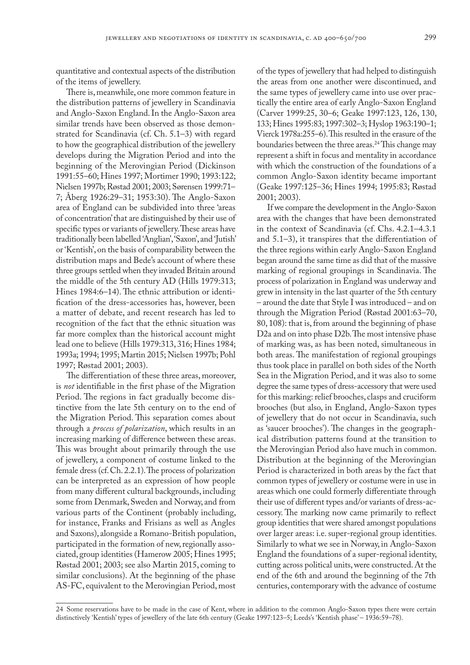quantitative and contextual aspects of the distribution of the items of jewellery.

There is, meanwhile, one more common feature in the distribution patterns of jewellery in Scandinavia and Anglo-Saxon England. In the Anglo-Saxon area similar trends have been observed as those demonstrated for Scandinavia (cf. Ch. 5.1–3) with regard to how the geographical distribution of the jewellery develops during the Migration Period and into the beginning of the Merovingian Period (Dickinson 1991:55–60; Hines 1997; Mortimer 1990; 1993:122; Nielsen 1997b; Røstad 2001; 2003; Sørensen 1999:71– 7; Åberg 1926:29–31; 1953:30). The Anglo-Saxon area of England can be subdivided into three 'areas of concentration' that are distinguished by their use of specific types or variants of jewellery. These areas have traditionally been labelled 'Anglian', 'Saxon', and 'Jutish' or 'Kentish', on the basis of comparability between the distribution maps and Bede's account of where these three groups settled when they invaded Britain around the middle of the 5th century AD (Hills 1979:313; Hines 1984:6–14). The ethnic attribution or identification of the dress-accessories has, however, been a matter of debate, and recent research has led to recognition of the fact that the ethnic situation was far more complex than the historical account might lead one to believe (Hills 1979:313, 316; Hines 1984; 1993a; 1994; 1995; Martin 2015; Nielsen 1997b; Pohl 1997; Røstad 2001; 2003).

The differentiation of these three areas, moreover, is *not* identifiable in the first phase of the Migration Period. The regions in fact gradually become distinctive from the late 5th century on to the end of the Migration Period. This separation comes about through a *process of polarization*, which results in an increasing marking of difference between these areas. This was brought about primarily through the use of jewellery, a component of costume linked to the female dress (cf. Ch. 2.2.1). The process of polarization can be interpreted as an expression of how people from many different cultural backgrounds, including some from Denmark, Sweden and Norway, and from various parts of the Continent (probably including, for instance, Franks and Frisians as well as Angles and Saxons), alongside a Romano-British population, participated in the formation of new, regionally associated, group identities (Hamerow 2005; Hines 1995; Røstad 2001; 2003; see also Martin 2015, coming to similar conclusions). At the beginning of the phase AS-FC, equivalent to the Merovingian Period, most

of the types of jewellery that had helped to distinguish the areas from one another were discontinued, and the same types of jewellery came into use over practically the entire area of early Anglo-Saxon England (Carver 1999:25, 30–6; Geake 1997:123, 126, 130, 133; Hines 1995:83; 1997:302–3; Hyslop 1963:190–1; Vierck 1978a:255–6). This resulted in the erasure of the boundaries between the three areas.<sup>24</sup> This change may represent a shift in focus and mentality in accordance with which the construction of the foundations of a common Anglo-Saxon identity became important (Geake 1997:125–36; Hines 1994; 1995:83; Røstad 2001; 2003).

If we compare the development in the Anglo-Saxon area with the changes that have been demonstrated in the context of Scandinavia (cf. Chs. 4.2.1–4.3.1 and 5.1–3), it transpires that the differentiation of the three regions within early Anglo-Saxon England began around the same time as did that of the massive marking of regional groupings in Scandinavia. The process of polarization in England was underway and grew in intensity in the last quarter of the 5th century – around the date that Style I was introduced – and on through the Migration Period (Røstad 2001:63–70, 80, 108): that is, from around the beginning of phase D2a and on into phase D2b. The most intensive phase of marking was, as has been noted, simultaneous in both areas. The manifestation of regional groupings thus took place in parallel on both sides of the North Sea in the Migration Period, and it was also to some degree the same types of dress-accessory that were used for this marking: relief brooches, clasps and cruciform brooches (but also, in England, Anglo-Saxon types of jewellery that do not occur in Scandinavia, such as 'saucer brooches'). The changes in the geographical distribution patterns found at the transition to the Merovingian Period also have much in common. Distribution at the beginning of the Merovingian Period is characterized in both areas by the fact that common types of jewellery or costume were in use in areas which one could formerly differentiate through their use of different types and/or variants of dress-accessory. The marking now came primarily to reflect group identities that were shared amongst populations over larger areas: i.e. super-regional group identities. Similarly to what we see in Norway, in Anglo-Saxon England the foundations of a super-regional identity, cutting across political units, were constructed. At the end of the 6th and around the beginning of the 7th centuries, contemporary with the advance of costume

<sup>24</sup> Some reservations have to be made in the case of Kent, where in addition to the common Anglo-Saxon types there were certain distinctively 'Kentish' types of jewellery of the late 6th century (Geake 1997:123–5; Leeds's 'Kentish phase' – 1936:59–78).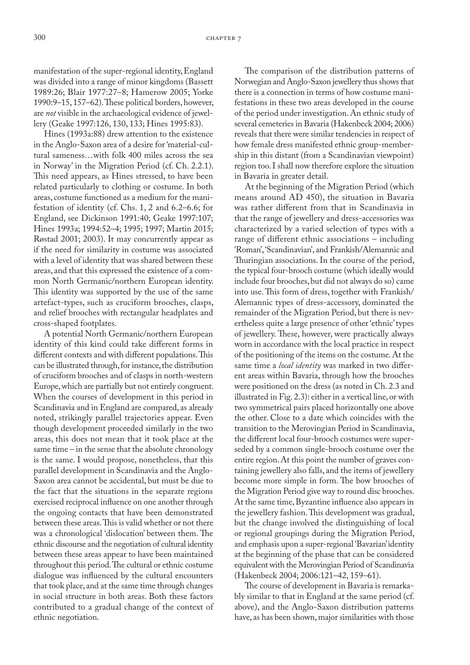manifestation of the super-regional identity, England was divided into a range of minor kingdoms (Bassett 1989:26; Blair 1977:27–8; Hamerow 2005; Yorke 1990:9–15, 157–62). These political borders, however, are *not* visible in the archaeological evidence of jewellery (Geake 1997:126, 130, 133; Hines 1995:83).

Hines (1993a:88) drew attention to the existence in the Anglo-Saxon area of a desire for 'material-cultural sameness…with folk 400 miles across the sea in Norway' in the Migration Period (cf. Ch. 2.2.1). This need appears, as Hines stressed, to have been related particularly to clothing or costume. In both areas, costume functioned as a medium for the manifestation of identity (cf. Chs. 1, 2 and 6.2–6.6; for England, see Dickinson 1991:40; Geake 1997:107; Hines 1993a; 1994:52–4; 1995; 1997; Martin 2015; Røstad 2001; 2003). It may concurrently appear as if the need for similarity in costume was associated with a level of identity that was shared between these areas, and that this expressed the existence of a common North Germanic/northern European identity. This identity was supported by the use of the same artefact-types, such as cruciform brooches, clasps, and relief brooches with rectangular headplates and cross-shaped footplates.

A potential North Germanic/northern European identity of this kind could take different forms in different contexts and with different populations. This can be illustrated through, for instance, the distribution of cruciform brooches and of clasps in north-western Europe, which are partially but not entirely congruent. When the courses of development in this period in Scandinavia and in England are compared, as already noted, strikingly parallel trajectories appear. Even though development proceeded similarly in the two areas, this does not mean that it took place at the same time – in the sense that the absolute chronology is the same. I would propose, nonetheless, that this parallel development in Scandinavia and the Anglo-Saxon area cannot be accidental, but must be due to the fact that the situations in the separate regions exercised reciprocal influence on one another through the ongoing contacts that have been demonstrated between these areas. This is valid whether or not there was a chronological 'dislocation' between them. The ethnic discourse and the negotiation of cultural identity between these areas appear to have been maintained throughout this period. The cultural or ethnic costume dialogue was influenced by the cultural encounters that took place, and at the same time through changes in social structure in both areas. Both these factors contributed to a gradual change of the context of ethnic negotiation.

The comparison of the distribution patterns of Norwegian and Anglo-Saxon jewellery thus shows that there is a connection in terms of how costume manifestations in these two areas developed in the course of the period under investigation. An ethnic study of several cemeteries in Bavaria (Hakenbeck 2004; 2006) reveals that there were similar tendencies in respect of how female dress manifested ethnic group-membership in this distant (from a Scandinavian viewpoint) region too. I shall now therefore explore the situation in Bavaria in greater detail.

At the beginning of the Migration Period (which means around AD 450), the situation in Bavaria was rather different from that in Scandinavia in that the range of jewellery and dress-accessories was characterized by a varied selection of types with a range of different ethnic associations – including 'Roman', 'Scandinavian', and Frankish/Alemannic and Thuringian associations. In the course of the period, the typical four-brooch costume (which ideally would include four brooches, but did not always do so) came into use. This form of dress, together with Frankish/ Alemannic types of dress-accessory, dominated the remainder of the Migration Period, but there is nevertheless quite a large presence of other 'ethnic' types of jewellery. These, however, were practically always worn in accordance with the local practice in respect of the positioning of the items on the costume. At the same time a *local identity* was marked in two different areas within Bavaria, through how the brooches were positioned on the dress (as noted in Ch. 2.3 and illustrated in Fig. 2.3): either in a vertical line, or with two symmetrical pairs placed horizontally one above the other. Close to a date which coincides with the transition to the Merovingian Period in Scandinavia, the different local four-brooch costumes were superseded by a common single-brooch costume over the entire region. At this point the number of graves containing jewellery also falls, and the items of jewellery become more simple in form. The bow brooches of the Migration Period give way to round disc brooches. At the same time, Byzantine influence also appears in the jewellery fashion. This development was gradual, but the change involved the distinguishing of local or regional groupings during the Migration Period, and emphasis upon a super-regional 'Bavarian' identity at the beginning of the phase that can be considered equivalent with the Merovingian Period of Scandinavia (Hakenbeck 2004; 2006:121–42, 159–61).

The course of development in Bavaria is remarkably similar to that in England at the same period (cf. above), and the Anglo-Saxon distribution patterns have, as has been shown, major similarities with those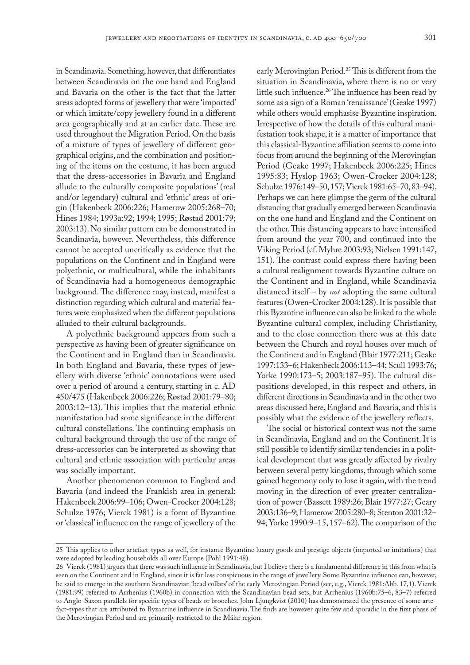in Scandinavia. Something, however, that differentiates between Scandinavia on the one hand and England and Bavaria on the other is the fact that the latter areas adopted forms of jewellery that were 'imported' or which imitate/copy jewellery found in a different area geographically and at an earlier date. These are used throughout the Migration Period. On the basis of a mixture of types of jewellery of different geographical origins, and the combination and positioning of the items on the costume, it has been argued that the dress-accessories in Bavaria and England allude to the culturally composite populations' (real and/or legendary) cultural and 'ethnic' areas of origin (Hakenbeck 2006:226; Hamerow 2005:268–70; Hines 1984; 1993a:92; 1994; 1995; Røstad 2001:79; 2003:13). No similar pattern can be demonstrated in Scandinavia, however. Nevertheless, this difference cannot be accepted uncritically as evidence that the populations on the Continent and in England were polyethnic, or multicultural, while the inhabitants of Scandinavia had a homogeneous demographic background. The difference may, instead, manifest a distinction regarding which cultural and material features were emphasized when the different populations alluded to their cultural backgrounds.

A polyethnic background appears from such a perspective as having been of greater significance on the Continent and in England than in Scandinavia. In both England and Bavaria, these types of jewellery with diverse 'ethnic' connotations were used over a period of around a century, starting in c. AD 450/475 (Hakenbeck 2006:226; Røstad 2001:79–80; 2003:12–13). This implies that the material ethnic manifestation had some significance in the different cultural constellations. The continuing emphasis on cultural background through the use of the range of dress-accessories can be interpreted as showing that cultural and ethnic association with particular areas was socially important.

Another phenomenon common to England and Bavaria (and indeed the Frankish area in general: Hakenbeck 2006:99–106; Owen-Crocker 2004:128; Schulze 1976; Vierck 1981) is a form of Byzantine or 'classical' influence on the range of jewellery of the

early Merovingian Period.<sup>25</sup> This is different from the situation in Scandinavia, where there is no or very little such influence.26 The influence has been read by some as a sign of a Roman 'renaissance' (Geake 1997) while others would emphasise Byzantine inspiration. Irrespective of how the details of this cultural manifestation took shape, it is a matter of importance that this classical-Byzantine affiliation seems to come into focus from around the beginning of the Merovingian Period (Geake 1997; Hakenbeck 2006:225; Hines 1995:83; Hyslop 1963; Owen-Crocker 2004:128; Schulze 1976:149–50, 157; Vierck 1981:65–70, 83–94). Perhaps we can here glimpse the germ of the cultural distancing that gradually emerged between Scandinavia on the one hand and England and the Continent on the other. This distancing appears to have intensified from around the year 700, and continued into the Viking Period (cf. Myhre 2003:93; Nielsen 1991:147, 151). The contrast could express there having been a cultural realignment towards Byzantine culture on the Continent and in England, while Scandinavia distanced itself – by *not* adopting the same cultural features (Owen-Crocker 2004:128). It is possible that this Byzantine influence can also be linked to the whole Byzantine cultural complex, including Christianity, and to the close connection there was at this date between the Church and royal houses over much of the Continent and in England (Blair 1977:211; Geake 1997:133–6; Hakenbeck 2006:113–44; Scull 1993:76; Yorke 1990:173–5; 2003:187–95). The cultural dispositions developed, in this respect and others, in different directions in Scandinavia and in the other two areas discussed here, England and Bavaria, and this is possibly what the evidence of the jewellery reflects.

The social or historical context was not the same in Scandinavia, England and on the Continent. It is still possible to identify similar tendencies in a political development that was greatly affected by rivalry between several petty kingdoms, through which some gained hegemony only to lose it again, with the trend moving in the direction of ever greater centralization of power (Bassett 1989:26; Blair 1977:27; Geary 2003:136–9; Hamerow 2005:280–8; Stenton 2001:32– 94; Yorke 1990:9–15, 157–62). The comparison of the

<sup>25</sup> This applies to other artefact-types as well, for instance Byzantine luxury goods and prestige objects (imported or imitations) that were adopted by leading households all over Europe (Pohl 1991:48).

<sup>26</sup> Vierck (1981) argues that there was such influence in Scandinavia, but I believe there is a fundamental difference in this from what is seen on the Continent and in England, since it is far less conspicuous in the range of jewellery. Some Byzantine influence can, however, be said to emerge in the southern Scandinavian 'bead collars' of the early Merovingian Period (see, e.g., Vierck 1981:Abb. 17,1). Vierck (1981:99) referred to Arrhenius (1960b) in connection with the Scandinavian bead sets, but Arrhenius (1960b:75–6, 83–7) referred to Anglo-Saxon parallels for specific types of beads or brooches. John Ljungkvist (2010) has demonstrated the presence of some artefact-types that are attributed to Byzantine influence in Scandinavia. The finds are however quite few and sporadic in the first phase of the Merovingian Period and are primarily restricted to the Mälar region.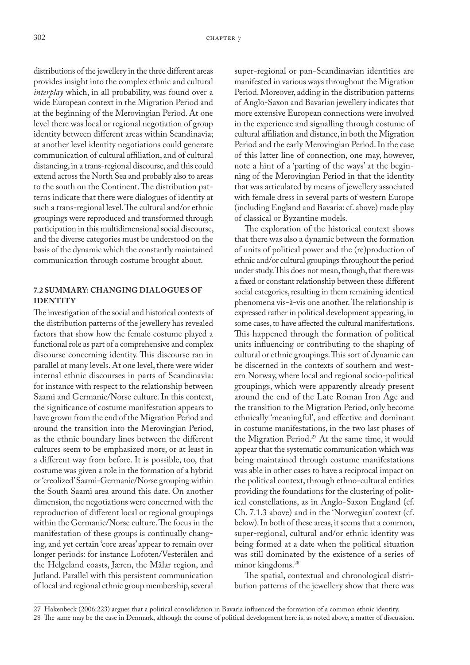distributions of the jewellery in the three different areas provides insight into the complex ethnic and cultural *interplay* which, in all probability, was found over a wide European context in the Migration Period and at the beginning of the Merovingian Period. At one level there was local or regional negotiation of group identity between different areas within Scandinavia; at another level identity negotiations could generate communication of cultural affiliation, and of cultural distancing, in a trans-regional discourse, and this could extend across the North Sea and probably also to areas to the south on the Continent. The distribution patterns indicate that there were dialogues of identity at such a trans-regional level. The cultural and/or ethnic groupings were reproduced and transformed through participation in this multidimensional social discourse, and the diverse categories must be understood on the basis of the dynamic which the constantly maintained communication through costume brought about.

### **7.2 SUMMARY: CHANGING DIALOGUES OF IDENTITY**

The investigation of the social and historical contexts of the distribution patterns of the jewellery has revealed factors that show how the female costume played a functional role as part of a comprehensive and complex discourse concerning identity. This discourse ran in parallel at many levels. At one level, there were wider internal ethnic discourses in parts of Scandinavia: for instance with respect to the relationship between Saami and Germanic/Norse culture. In this context, the significance of costume manifestation appears to have grown from the end of the Migration Period and around the transition into the Merovingian Period, as the ethnic boundary lines between the different cultures seem to be emphasized more, or at least in a different way from before. It is possible, too, that costume was given a role in the formation of a hybrid or 'creolized' Saami-Germanic/Norse grouping within the South Saami area around this date. On another dimension, the negotiations were concerned with the reproduction of different local or regional groupings within the Germanic/Norse culture. The focus in the manifestation of these groups is continually changing, and yet certain 'core areas' appear to remain over longer periods: for instance Lofoten/Vesterålen and the Helgeland coasts, Jæren, the Mälar region, and Jutland. Parallel with this persistent communication of local and regional ethnic group membership, several

super-regional or pan-Scandinavian identities are manifested in various ways throughout the Migration Period. Moreover, adding in the distribution patterns of Anglo-Saxon and Bavarian jewellery indicates that more extensive European connections were involved in the experience and signalling through costume of cultural affiliation and distance, in both the Migration Period and the early Merovingian Period. In the case of this latter line of connection, one may, however, note a hint of a 'parting of the ways' at the beginning of the Merovingian Period in that the identity that was articulated by means of jewellery associated with female dress in several parts of western Europe (including England and Bavaria: cf. above) made play of classical or Byzantine models.

The exploration of the historical context shows that there was also a dynamic between the formation of units of political power and the (re)production of ethnic and/or cultural groupings throughout the period under study. This does not mean, though, that there was a fixed or constant relationship between these different social categories, resulting in them remaining identical phenomena vis-à-vis one another. The relationship is expressed rather in political development appearing, in some cases, to have affected the cultural manifestations. This happened through the formation of political units influencing or contributing to the shaping of cultural or ethnic groupings. This sort of dynamic can be discerned in the contexts of southern and western Norway, where local and regional socio-political groupings, which were apparently already present around the end of the Late Roman Iron Age and the transition to the Migration Period, only become ethnically 'meaningful', and effective and dominant in costume manifestations, in the two last phases of the Migration Period.<sup>27</sup> At the same time, it would appear that the systematic communication which was being maintained through costume manifestations was able in other cases to have a reciprocal impact on the political context, through ethno-cultural entities providing the foundations for the clustering of political constellations, as in Anglo-Saxon England (cf. Ch. 7.1.3 above) and in the 'Norwegian' context (cf. below). In both of these areas, it seems that a common, super-regional, cultural and/or ethnic identity was being formed at a date when the political situation was still dominated by the existence of a series of minor kingdoms.<sup>28</sup>

The spatial, contextual and chronological distribution patterns of the jewellery show that there was

<sup>27</sup> Hakenbeck (2006:223) argues that a political consolidation in Bavaria influenced the formation of a common ethnic identity.

<sup>28</sup> The same may be the case in Denmark, although the course of political development here is, as noted above, a matter of discussion.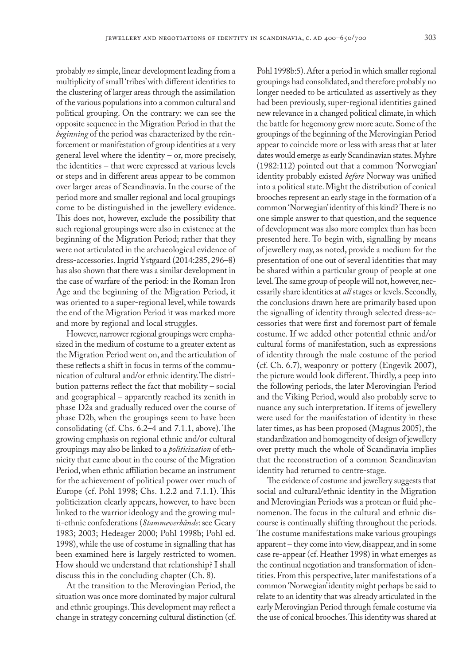probably *no* simple, linear development leading from a multiplicity of small 'tribes' with different identities to the clustering of larger areas through the assimilation of the various populations into a common cultural and political grouping. On the contrary: we can see the opposite sequence in the Migration Period in that the *beginning* of the period was characterized by the reinforcement or manifestation of group identities at a very general level where the identity – or, more precisely, the identities – that were expressed at various levels or steps and in different areas appear to be common over larger areas of Scandinavia. In the course of the period more and smaller regional and local groupings come to be distinguished in the jewellery evidence. This does not, however, exclude the possibility that such regional groupings were also in existence at the beginning of the Migration Period; rather that they were not articulated in the archaeological evidence of dress-accessories. Ingrid Ystgaard (2014:285, 296–8) has also shown that there was a similar development in the case of warfare of the period: in the Roman Iron Age and the beginning of the Migration Period, it was oriented to a super-regional level, while towards the end of the Migration Period it was marked more and more by regional and local struggles.

However, narrower regional groupings were emphasized in the medium of costume to a greater extent as the Migration Period went on, and the articulation of these reflects a shift in focus in terms of the communication of cultural and/or ethnic identity. The distribution patterns reflect the fact that mobility – social and geographical – apparently reached its zenith in phase D2a and gradually reduced over the course of phase D2b, when the groupings seem to have been consolidating (cf. Chs. 6.2–4 and 7.1.1, above). The growing emphasis on regional ethnic and/or cultural groupings may also be linked to a *politicization* of ethnicity that came about in the course of the Migration Period, when ethnic affiliation became an instrument for the achievement of political power over much of Europe (cf. Pohl 1998; Chs. 1.2.2 and 7.1.1). This politicization clearly appears, however, to have been linked to the warrior ideology and the growing multi-ethnic confederations (*Stammeverbände*: see Geary 1983; 2003; Hedeager 2000; Pohl 1998b; Pohl ed. 1998), while the use of costume in signalling that has been examined here is largely restricted to women. How should we understand that relationship? I shall discuss this in the concluding chapter (Ch. 8).

At the transition to the Merovingian Period, the situation was once more dominated by major cultural and ethnic groupings. This development may reflect a change in strategy concerning cultural distinction (cf.

Pohl 1998b:5). After a period in which smaller regional groupings had consolidated, and therefore probably no longer needed to be articulated as assertively as they had been previously, super-regional identities gained new relevance in a changed political climate, in which the battle for hegemony grew more acute. Some of the groupings of the beginning of the Merovingian Period appear to coincide more or less with areas that at later dates would emerge as early Scandinavian states. Myhre (1982:112) pointed out that a common 'Norwegian' identity probably existed *before* Norway was unified into a political state. Might the distribution of conical brooches represent an early stage in the formation of a common 'Norwegian' identity of this kind? There is no one simple answer to that question, and the sequence of development was also more complex than has been presented here. To begin with, signalling by means of jewellery may, as noted, provide a medium for the presentation of one out of several identities that may be shared within a particular group of people at one level. The same group of people will not, however, necessarily share identities at *all* stages or levels. Secondly, the conclusions drawn here are primarily based upon the signalling of identity through selected dress-accessories that were first and foremost part of female costume. If we added other potential ethnic and/or cultural forms of manifestation, such as expressions of identity through the male costume of the period (cf. Ch. 6.7), weaponry or pottery (Engevik 2007), the picture would look different. Thirdly, a peep into the following periods, the later Merovingian Period and the Viking Period, would also probably serve to nuance any such interpretation. If items of jewellery were used for the manifestation of identity in these later times, as has been proposed (Magnus 2005), the standardization and homogeneity of design of jewellery over pretty much the whole of Scandinavia implies that the reconstruction of a common Scandinavian identity had returned to centre-stage.

The evidence of costume and jewellery suggests that social and cultural/ethnic identity in the Migration and Merovingian Periods was a protean or fluid phenomenon. The focus in the cultural and ethnic discourse is continually shifting throughout the periods. The costume manifestations make various groupings apparent – they come into view, disappear, and in some case re-appear (cf. Heather 1998) in what emerges as the continual negotiation and transformation of identities. From this perspective, later manifestations of a common 'Norwegian' identity might perhaps be said to relate to an identity that was already articulated in the early Merovingian Period through female costume via the use of conical brooches. This identity was shared at